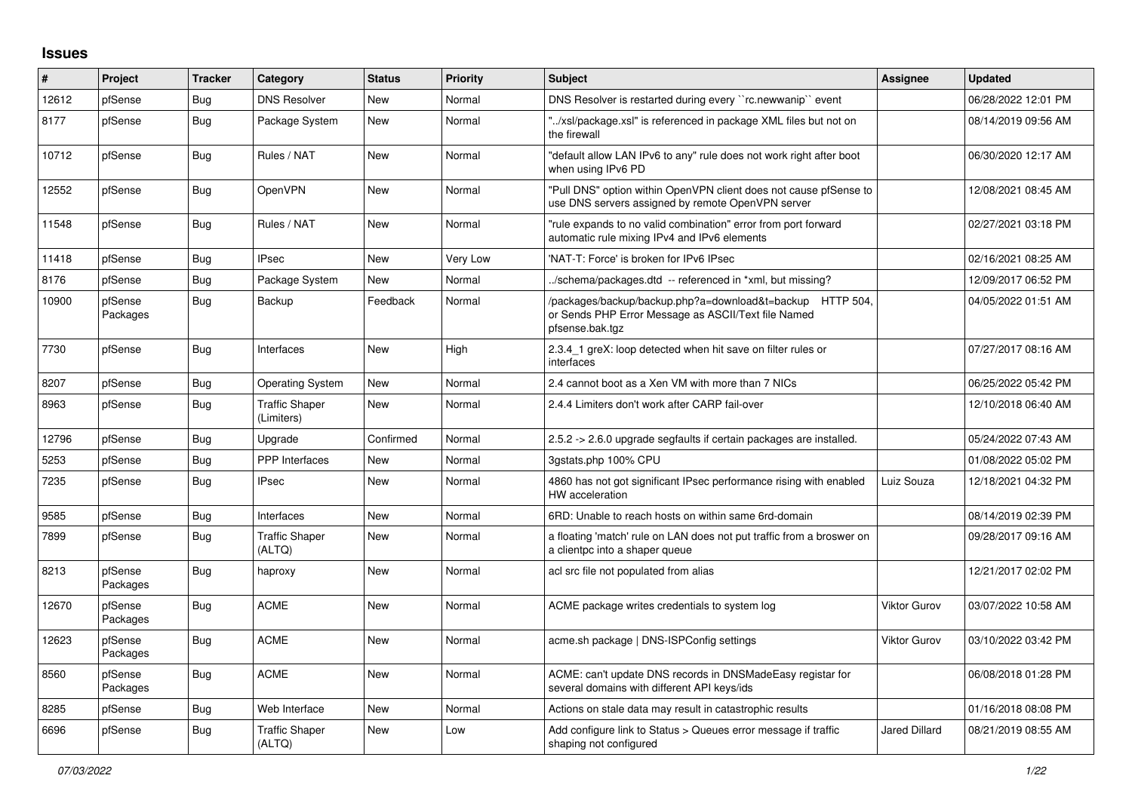## **Issues**

| #     | Project             | <b>Tracker</b> | Category                            | <b>Status</b> | <b>Priority</b> | <b>Subject</b>                                                                                                                     | <b>Assignee</b>      | <b>Updated</b>      |
|-------|---------------------|----------------|-------------------------------------|---------------|-----------------|------------------------------------------------------------------------------------------------------------------------------------|----------------------|---------------------|
| 12612 | pfSense             | Bug            | <b>DNS Resolver</b>                 | <b>New</b>    | Normal          | DNS Resolver is restarted during every "rc.newwanip" event                                                                         |                      | 06/28/2022 12:01 PM |
| 8177  | pfSense             | <b>Bug</b>     | Package System                      | <b>New</b>    | Normal          | "/xsl/package.xsl" is referenced in package XML files but not on<br>the firewall                                                   |                      | 08/14/2019 09:56 AM |
| 10712 | pfSense             | Bug            | Rules / NAT                         | <b>New</b>    | Normal          | "default allow LAN IPv6 to any" rule does not work right after boot<br>when using IPv6 PD                                          |                      | 06/30/2020 12:17 AM |
| 12552 | pfSense             | Bug            | OpenVPN                             | <b>New</b>    | Normal          | "Pull DNS" option within OpenVPN client does not cause pfSense to<br>use DNS servers assigned by remote OpenVPN server             |                      | 12/08/2021 08:45 AM |
| 11548 | pfSense             | Bug            | Rules / NAT                         | <b>New</b>    | Normal          | "rule expands to no valid combination" error from port forward<br>automatic rule mixing IPv4 and IPv6 elements                     |                      | 02/27/2021 03:18 PM |
| 11418 | pfSense             | <b>Bug</b>     | <b>IPsec</b>                        | <b>New</b>    | Very Low        | 'NAT-T: Force' is broken for IPv6 IPsec                                                                                            |                      | 02/16/2021 08:25 AM |
| 8176  | pfSense             | <b>Bug</b>     | Package System                      | New           | Normal          | ./schema/packages.dtd -- referenced in *xml, but missing?                                                                          |                      | 12/09/2017 06:52 PM |
| 10900 | pfSense<br>Packages | <b>Bug</b>     | Backup                              | Feedback      | Normal          | /packages/backup/backup.php?a=download&t=backup HTTP 504<br>or Sends PHP Error Message as ASCII/Text file Named<br>pfsense.bak.tgz |                      | 04/05/2022 01:51 AM |
| 7730  | pfSense             | <b>Bug</b>     | Interfaces                          | <b>New</b>    | High            | 2.3.4 1 greX: loop detected when hit save on filter rules or<br>interfaces                                                         |                      | 07/27/2017 08:16 AM |
| 8207  | pfSense             | Bug            | <b>Operating System</b>             | <b>New</b>    | Normal          | 2.4 cannot boot as a Xen VM with more than 7 NICs                                                                                  |                      | 06/25/2022 05:42 PM |
| 8963  | pfSense             | <b>Bug</b>     | <b>Traffic Shaper</b><br>(Limiters) | <b>New</b>    | Normal          | 2.4.4 Limiters don't work after CARP fail-over                                                                                     |                      | 12/10/2018 06:40 AM |
| 12796 | pfSense             | <b>Bug</b>     | Upgrade                             | Confirmed     | Normal          | 2.5.2 -> 2.6.0 upgrade segfaults if certain packages are installed.                                                                |                      | 05/24/2022 07:43 AM |
| 5253  | pfSense             | <b>Bug</b>     | <b>PPP</b> Interfaces               | <b>New</b>    | Normal          | 3gstats.php 100% CPU                                                                                                               |                      | 01/08/2022 05:02 PM |
| 7235  | pfSense             | Bug            | <b>IPsec</b>                        | New           | Normal          | 4860 has not got significant IPsec performance rising with enabled<br>HW acceleration                                              | Luiz Souza           | 12/18/2021 04:32 PM |
| 9585  | pfSense             | Bug            | Interfaces                          | <b>New</b>    | Normal          | 6RD: Unable to reach hosts on within same 6rd-domain                                                                               |                      | 08/14/2019 02:39 PM |
| 7899  | pfSense             | <b>Bug</b>     | <b>Traffic Shaper</b><br>(ALTQ)     | <b>New</b>    | Normal          | a floating 'match' rule on LAN does not put traffic from a broswer on<br>a clientpc into a shaper queue                            |                      | 09/28/2017 09:16 AM |
| 8213  | pfSense<br>Packages | <b>Bug</b>     | haproxy                             | New           | Normal          | acl src file not populated from alias                                                                                              |                      | 12/21/2017 02:02 PM |
| 12670 | pfSense<br>Packages | <b>Bug</b>     | <b>ACME</b>                         | <b>New</b>    | Normal          | ACME package writes credentials to system log                                                                                      | <b>Viktor Gurov</b>  | 03/07/2022 10:58 AM |
| 12623 | pfSense<br>Packages | Bug            | <b>ACME</b>                         | <b>New</b>    | Normal          | acme.sh package   DNS-ISPConfig settings                                                                                           | <b>Viktor Gurov</b>  | 03/10/2022 03:42 PM |
| 8560  | pfSense<br>Packages | <b>Bug</b>     | <b>ACME</b>                         | <b>New</b>    | Normal          | ACME: can't update DNS records in DNSMadeEasy registar for<br>several domains with different API keys/ids                          |                      | 06/08/2018 01:28 PM |
| 8285  | pfSense             | Bug            | Web Interface                       | <b>New</b>    | Normal          | Actions on stale data may result in catastrophic results                                                                           |                      | 01/16/2018 08:08 PM |
| 6696  | pfSense             | <b>Bug</b>     | <b>Traffic Shaper</b><br>(ALTQ)     | <b>New</b>    | Low             | Add configure link to Status > Queues error message if traffic<br>shaping not configured                                           | <b>Jared Dillard</b> | 08/21/2019 08:55 AM |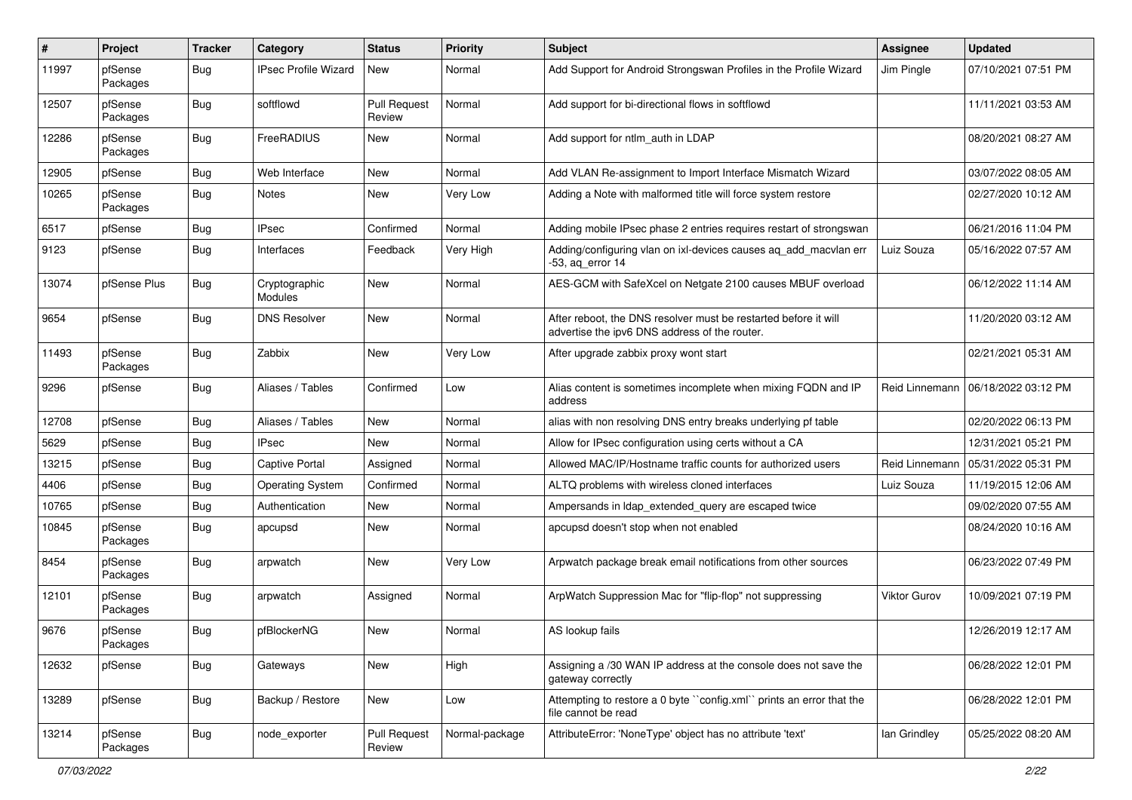| #     | Project             | <b>Tracker</b> | Category                    | <b>Status</b>                 | <b>Priority</b> | Subject                                                                                                          | <b>Assignee</b>     | <b>Updated</b>                       |
|-------|---------------------|----------------|-----------------------------|-------------------------------|-----------------|------------------------------------------------------------------------------------------------------------------|---------------------|--------------------------------------|
| 11997 | pfSense<br>Packages | Bug            | <b>IPsec Profile Wizard</b> | New                           | Normal          | Add Support for Android Strongswan Profiles in the Profile Wizard                                                | Jim Pingle          | 07/10/2021 07:51 PM                  |
| 12507 | pfSense<br>Packages | <b>Bug</b>     | softflowd                   | <b>Pull Request</b><br>Review | Normal          | Add support for bi-directional flows in softflowd                                                                |                     | 11/11/2021 03:53 AM                  |
| 12286 | pfSense<br>Packages | <b>Bug</b>     | FreeRADIUS                  | <b>New</b>                    | Normal          | Add support for ntlm auth in LDAP                                                                                |                     | 08/20/2021 08:27 AM                  |
| 12905 | pfSense             | <b>Bug</b>     | Web Interface               | <b>New</b>                    | Normal          | Add VLAN Re-assignment to Import Interface Mismatch Wizard                                                       |                     | 03/07/2022 08:05 AM                  |
| 10265 | pfSense<br>Packages | <b>Bug</b>     | Notes                       | New                           | Very Low        | Adding a Note with malformed title will force system restore                                                     |                     | 02/27/2020 10:12 AM                  |
| 6517  | pfSense             | <b>Bug</b>     | <b>IPsec</b>                | Confirmed                     | Normal          | Adding mobile IPsec phase 2 entries requires restart of strongswan                                               |                     | 06/21/2016 11:04 PM                  |
| 9123  | pfSense             | <b>Bug</b>     | Interfaces                  | Feedback                      | Very High       | Adding/configuring vlan on ixl-devices causes ag add macvlan err<br>$-53$ , aq_error 14                          | Luiz Souza          | 05/16/2022 07:57 AM                  |
| 13074 | pfSense Plus        | Bug            | Cryptographic<br>Modules    | <b>New</b>                    | Normal          | AES-GCM with SafeXcel on Netgate 2100 causes MBUF overload                                                       |                     | 06/12/2022 11:14 AM                  |
| 9654  | pfSense             | Bug            | <b>DNS Resolver</b>         | <b>New</b>                    | Normal          | After reboot, the DNS resolver must be restarted before it will<br>advertise the ipv6 DNS address of the router. |                     | 11/20/2020 03:12 AM                  |
| 11493 | pfSense<br>Packages | <b>Bug</b>     | Zabbix                      | <b>New</b>                    | Very Low        | After upgrade zabbix proxy wont start                                                                            |                     | 02/21/2021 05:31 AM                  |
| 9296  | pfSense             | <b>Bug</b>     | Aliases / Tables            | Confirmed                     | Low             | Alias content is sometimes incomplete when mixing FQDN and IP<br>address                                         |                     | Reid Linnemann   06/18/2022 03:12 PM |
| 12708 | pfSense             | <b>Bug</b>     | Aliases / Tables            | <b>New</b>                    | Normal          | alias with non resolving DNS entry breaks underlying pf table                                                    |                     | 02/20/2022 06:13 PM                  |
| 5629  | pfSense             | Bug            | <b>IPsec</b>                | New                           | Normal          | Allow for IPsec configuration using certs without a CA                                                           |                     | 12/31/2021 05:21 PM                  |
| 13215 | pfSense             | Bug            | Captive Portal              | Assigned                      | Normal          | Allowed MAC/IP/Hostname traffic counts for authorized users                                                      | Reid Linnemann      | 05/31/2022 05:31 PM                  |
| 4406  | pfSense             | <b>Bug</b>     | <b>Operating System</b>     | Confirmed                     | Normal          | ALTQ problems with wireless cloned interfaces                                                                    | Luiz Souza          | 11/19/2015 12:06 AM                  |
| 10765 | pfSense             | Bug            | Authentication              | New                           | Normal          | Ampersands in Idap extended query are escaped twice                                                              |                     | 09/02/2020 07:55 AM                  |
| 10845 | pfSense<br>Packages | Bug            | apcupsd                     | New                           | Normal          | apcupsd doesn't stop when not enabled                                                                            |                     | 08/24/2020 10:16 AM                  |
| 8454  | pfSense<br>Packages | <b>Bug</b>     | arpwatch                    | <b>New</b>                    | Very Low        | Arpwatch package break email notifications from other sources                                                    |                     | 06/23/2022 07:49 PM                  |
| 12101 | pfSense<br>Packages | <b>Bug</b>     | arpwatch                    | Assigned                      | Normal          | ArpWatch Suppression Mac for "flip-flop" not suppressing                                                         | <b>Viktor Gurov</b> | 10/09/2021 07:19 PM                  |
| 9676  | pfSense<br>Packages | <b>Bug</b>     | pfBlockerNG                 | New                           | Normal          | AS lookup fails                                                                                                  |                     | 12/26/2019 12:17 AM                  |
| 12632 | pfSense             | <b>Bug</b>     | Gateways                    | New                           | High            | Assigning a /30 WAN IP address at the console does not save the<br>gateway correctly                             |                     | 06/28/2022 12:01 PM                  |
| 13289 | pfSense             | <b>Bug</b>     | Backup / Restore            | New                           | Low             | Attempting to restore a 0 byte "config.xml" prints an error that the<br>file cannot be read                      |                     | 06/28/2022 12:01 PM                  |
| 13214 | pfSense<br>Packages | <b>Bug</b>     | node_exporter               | <b>Pull Request</b><br>Review | Normal-package  | AttributeError: 'NoneType' object has no attribute 'text'                                                        | lan Grindley        | 05/25/2022 08:20 AM                  |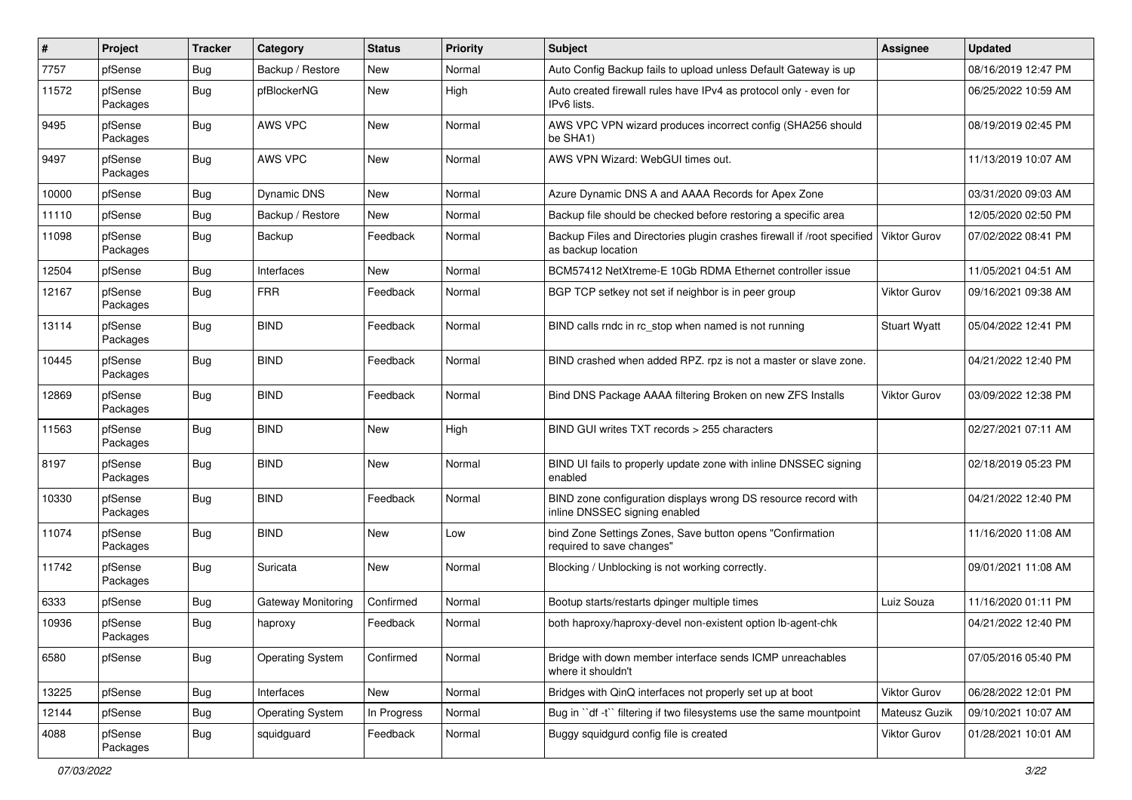| $\sharp$ | Project             | <b>Tracker</b> | Category                | <b>Status</b> | <b>Priority</b> | <b>Subject</b>                                                                                  | <b>Assignee</b>     | <b>Updated</b>      |
|----------|---------------------|----------------|-------------------------|---------------|-----------------|-------------------------------------------------------------------------------------------------|---------------------|---------------------|
| 7757     | pfSense             | Bug            | Backup / Restore        | New           | Normal          | Auto Config Backup fails to upload unless Default Gateway is up                                 |                     | 08/16/2019 12:47 PM |
| 11572    | pfSense<br>Packages | <b>Bug</b>     | pfBlockerNG             | New           | High            | Auto created firewall rules have IPv4 as protocol only - even for<br>IPv6 lists.                |                     | 06/25/2022 10:59 AM |
| 9495     | pfSense<br>Packages | <b>Bug</b>     | AWS VPC                 | New           | Normal          | AWS VPC VPN wizard produces incorrect config (SHA256 should<br>be SHA1)                         |                     | 08/19/2019 02:45 PM |
| 9497     | pfSense<br>Packages | Bug            | <b>AWS VPC</b>          | New           | Normal          | AWS VPN Wizard: WebGUI times out.                                                               |                     | 11/13/2019 10:07 AM |
| 10000    | pfSense             | Bug            | <b>Dynamic DNS</b>      | <b>New</b>    | Normal          | Azure Dynamic DNS A and AAAA Records for Apex Zone                                              |                     | 03/31/2020 09:03 AM |
| 11110    | pfSense             | <b>Bug</b>     | Backup / Restore        | New           | Normal          | Backup file should be checked before restoring a specific area                                  |                     | 12/05/2020 02:50 PM |
| 11098    | pfSense<br>Packages | <b>Bug</b>     | Backup                  | Feedback      | Normal          | Backup Files and Directories plugin crashes firewall if /root specified<br>as backup location   | <b>Viktor Gurov</b> | 07/02/2022 08:41 PM |
| 12504    | pfSense             | Bug            | Interfaces              | New           | Normal          | BCM57412 NetXtreme-E 10Gb RDMA Ethernet controller issue                                        |                     | 11/05/2021 04:51 AM |
| 12167    | pfSense<br>Packages | <b>Bug</b>     | <b>FRR</b>              | Feedback      | Normal          | BGP TCP setkey not set if neighbor is in peer group                                             | Viktor Gurov        | 09/16/2021 09:38 AM |
| 13114    | pfSense<br>Packages | <b>Bug</b>     | <b>BIND</b>             | Feedback      | Normal          | BIND calls rndc in rc_stop when named is not running                                            | <b>Stuart Wyatt</b> | 05/04/2022 12:41 PM |
| 10445    | pfSense<br>Packages | <b>Bug</b>     | <b>BIND</b>             | Feedback      | Normal          | BIND crashed when added RPZ. rpz is not a master or slave zone.                                 |                     | 04/21/2022 12:40 PM |
| 12869    | pfSense<br>Packages | Bug            | <b>BIND</b>             | Feedback      | Normal          | Bind DNS Package AAAA filtering Broken on new ZFS Installs                                      | Viktor Gurov        | 03/09/2022 12:38 PM |
| 11563    | pfSense<br>Packages | <b>Bug</b>     | <b>BIND</b>             | New           | High            | BIND GUI writes TXT records > 255 characters                                                    |                     | 02/27/2021 07:11 AM |
| 8197     | pfSense<br>Packages | Bug            | <b>BIND</b>             | <b>New</b>    | Normal          | BIND UI fails to properly update zone with inline DNSSEC signing<br>enabled                     |                     | 02/18/2019 05:23 PM |
| 10330    | pfSense<br>Packages | Bug            | <b>BIND</b>             | Feedback      | Normal          | BIND zone configuration displays wrong DS resource record with<br>inline DNSSEC signing enabled |                     | 04/21/2022 12:40 PM |
| 11074    | pfSense<br>Packages | <b>Bug</b>     | <b>BIND</b>             | <b>New</b>    | Low             | bind Zone Settings Zones, Save button opens "Confirmation<br>required to save changes"          |                     | 11/16/2020 11:08 AM |
| 11742    | pfSense<br>Packages | <b>Bug</b>     | Suricata                | New           | Normal          | Blocking / Unblocking is not working correctly.                                                 |                     | 09/01/2021 11:08 AM |
| 6333     | pfSense             | <b>Bug</b>     | Gateway Monitoring      | Confirmed     | Normal          | Bootup starts/restarts dpinger multiple times                                                   | Luiz Souza          | 11/16/2020 01:11 PM |
| 10936    | pfSense<br>Packages | <b>Bug</b>     | haproxy                 | Feedback      | Normal          | both haproxy/haproxy-devel non-existent option lb-agent-chk                                     |                     | 04/21/2022 12:40 PM |
| 6580     | pfSense             | Bug            | <b>Operating System</b> | Confirmed     | Normal          | Bridge with down member interface sends ICMP unreachables<br>where it shouldn't                 |                     | 07/05/2016 05:40 PM |
| 13225    | pfSense             | <b>Bug</b>     | Interfaces              | New           | Normal          | Bridges with QinQ interfaces not properly set up at boot                                        | Viktor Gurov        | 06/28/2022 12:01 PM |
| 12144    | pfSense             | Bug            | <b>Operating System</b> | In Progress   | Normal          | Bug in "df -t" filtering if two filesystems use the same mountpoint                             | Mateusz Guzik       | 09/10/2021 10:07 AM |
| 4088     | pfSense<br>Packages | <b>Bug</b>     | squidguard              | Feedback      | Normal          | Buggy squidgurd config file is created                                                          | Viktor Gurov        | 01/28/2021 10:01 AM |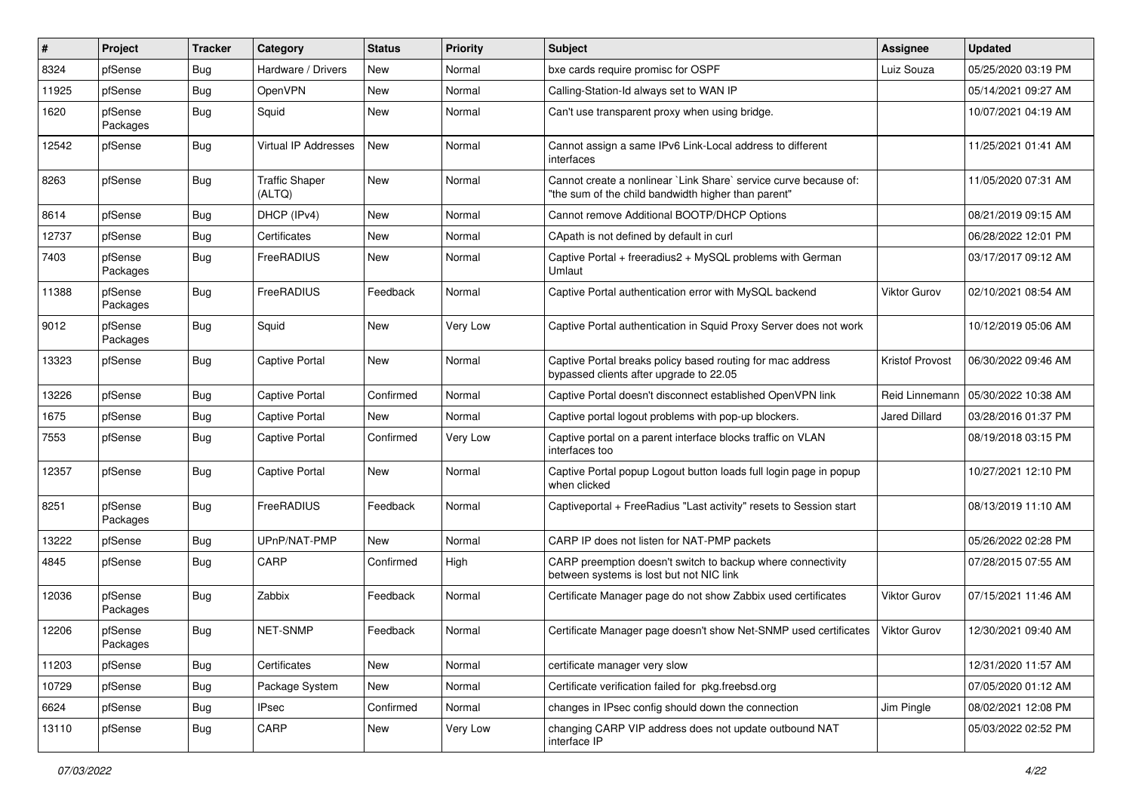| #     | Project             | <b>Tracker</b> | Category                        | <b>Status</b> | <b>Priority</b> | Subject                                                                                                                 | <b>Assignee</b>      | <b>Updated</b>      |
|-------|---------------------|----------------|---------------------------------|---------------|-----------------|-------------------------------------------------------------------------------------------------------------------------|----------------------|---------------------|
| 8324  | pfSense             | Bug            | Hardware / Drivers              | New           | Normal          | bxe cards require promisc for OSPF                                                                                      | Luiz Souza           | 05/25/2020 03:19 PM |
| 11925 | pfSense             | <b>Bug</b>     | OpenVPN                         | <b>New</b>    | Normal          | Calling-Station-Id always set to WAN IP                                                                                 |                      | 05/14/2021 09:27 AM |
| 1620  | pfSense<br>Packages | <b>Bug</b>     | Squid                           | New           | Normal          | Can't use transparent proxy when using bridge.                                                                          |                      | 10/07/2021 04:19 AM |
| 12542 | pfSense             | <b>Bug</b>     | Virtual IP Addresses            | New           | Normal          | Cannot assign a same IPv6 Link-Local address to different<br>interfaces                                                 |                      | 11/25/2021 01:41 AM |
| 8263  | pfSense             | Bug            | <b>Traffic Shaper</b><br>(ALTQ) | <b>New</b>    | Normal          | Cannot create a nonlinear `Link Share` service curve because of:<br>"the sum of the child bandwidth higher than parent" |                      | 11/05/2020 07:31 AM |
| 8614  | pfSense             | <b>Bug</b>     | DHCP (IPv4)                     | <b>New</b>    | Normal          | Cannot remove Additional BOOTP/DHCP Options                                                                             |                      | 08/21/2019 09:15 AM |
| 12737 | pfSense             | Bug            | Certificates                    | <b>New</b>    | Normal          | CApath is not defined by default in curl                                                                                |                      | 06/28/2022 12:01 PM |
| 7403  | pfSense<br>Packages | <b>Bug</b>     | FreeRADIUS                      | New           | Normal          | Captive Portal + freeradius2 + MySQL problems with German<br>Umlaut                                                     |                      | 03/17/2017 09:12 AM |
| 11388 | pfSense<br>Packages | <b>Bug</b>     | FreeRADIUS                      | Feedback      | Normal          | Captive Portal authentication error with MySQL backend                                                                  | <b>Viktor Gurov</b>  | 02/10/2021 08:54 AM |
| 9012  | pfSense<br>Packages | <b>Bug</b>     | Squid                           | <b>New</b>    | Very Low        | Captive Portal authentication in Squid Proxy Server does not work                                                       |                      | 10/12/2019 05:06 AM |
| 13323 | pfSense             | <b>Bug</b>     | <b>Captive Portal</b>           | <b>New</b>    | Normal          | Captive Portal breaks policy based routing for mac address<br>bypassed clients after upgrade to 22.05                   | Kristof Provost      | 06/30/2022 09:46 AM |
| 13226 | pfSense             | <b>Bug</b>     | Captive Portal                  | Confirmed     | Normal          | Captive Portal doesn't disconnect established OpenVPN link                                                              | Reid Linnemann       | 05/30/2022 10:38 AM |
| 1675  | pfSense             | Bug            | Captive Portal                  | <b>New</b>    | Normal          | Captive portal logout problems with pop-up blockers.                                                                    | <b>Jared Dillard</b> | 03/28/2016 01:37 PM |
| 7553  | pfSense             | <b>Bug</b>     | <b>Captive Portal</b>           | Confirmed     | Very Low        | Captive portal on a parent interface blocks traffic on VLAN<br>interfaces too                                           |                      | 08/19/2018 03:15 PM |
| 12357 | pfSense             | <b>Bug</b>     | Captive Portal                  | New           | Normal          | Captive Portal popup Logout button loads full login page in popup<br>when clicked                                       |                      | 10/27/2021 12:10 PM |
| 8251  | pfSense<br>Packages | <b>Bug</b>     | FreeRADIUS                      | Feedback      | Normal          | Captiveportal + FreeRadius "Last activity" resets to Session start                                                      |                      | 08/13/2019 11:10 AM |
| 13222 | pfSense             | <b>Bug</b>     | UPnP/NAT-PMP                    | <b>New</b>    | Normal          | CARP IP does not listen for NAT-PMP packets                                                                             |                      | 05/26/2022 02:28 PM |
| 4845  | pfSense             | <b>Bug</b>     | CARP                            | Confirmed     | High            | CARP preemption doesn't switch to backup where connectivity<br>between systems is lost but not NIC link                 |                      | 07/28/2015 07:55 AM |
| 12036 | pfSense<br>Packages | <b>Bug</b>     | Zabbix                          | Feedback      | Normal          | Certificate Manager page do not show Zabbix used certificates                                                           | <b>Viktor Gurov</b>  | 07/15/2021 11:46 AM |
| 12206 | pfSense<br>Packages | <b>Bug</b>     | NET-SNMP                        | Feedback      | Normal          | Certificate Manager page doesn't show Net-SNMP used certificates                                                        | <b>Viktor Gurov</b>  | 12/30/2021 09:40 AM |
| 11203 | pfSense             | <b>Bug</b>     | Certificates                    | New           | Normal          | certificate manager very slow                                                                                           |                      | 12/31/2020 11:57 AM |
| 10729 | pfSense             | <b>Bug</b>     | Package System                  | New           | Normal          | Certificate verification failed for pkg.freebsd.org                                                                     |                      | 07/05/2020 01:12 AM |
| 6624  | pfSense             | <b>Bug</b>     | <b>IPsec</b>                    | Confirmed     | Normal          | changes in IPsec config should down the connection                                                                      | Jim Pingle           | 08/02/2021 12:08 PM |
| 13110 | pfSense             | <b>Bug</b>     | CARP                            | New           | Very Low        | changing CARP VIP address does not update outbound NAT<br>interface IP                                                  |                      | 05/03/2022 02:52 PM |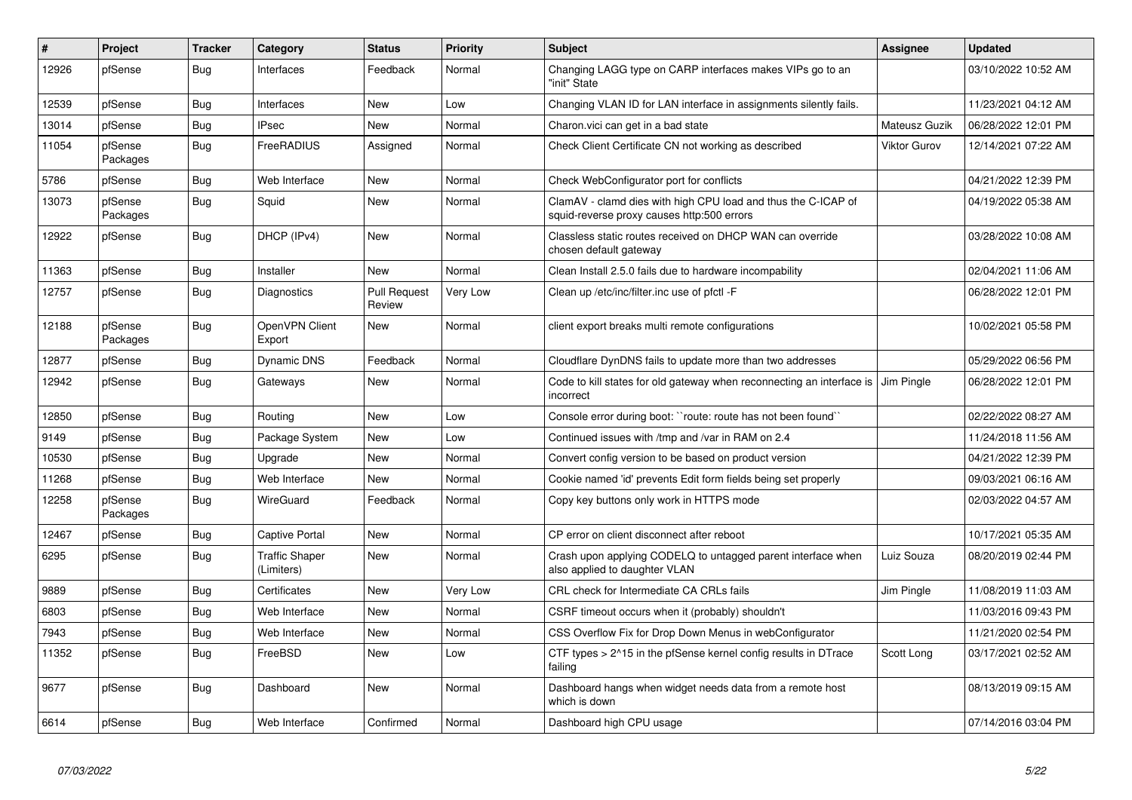| $\vert$ # | Project             | <b>Tracker</b> | Category                            | <b>Status</b>                 | <b>Priority</b> | <b>Subject</b>                                                                                              | <b>Assignee</b>     | <b>Updated</b>      |
|-----------|---------------------|----------------|-------------------------------------|-------------------------------|-----------------|-------------------------------------------------------------------------------------------------------------|---------------------|---------------------|
| 12926     | pfSense             | <b>Bug</b>     | Interfaces                          | Feedback                      | Normal          | Changing LAGG type on CARP interfaces makes VIPs go to an<br>"init" State                                   |                     | 03/10/2022 10:52 AM |
| 12539     | pfSense             | Bug            | Interfaces                          | <b>New</b>                    | Low             | Changing VLAN ID for LAN interface in assignments silently fails.                                           |                     | 11/23/2021 04:12 AM |
| 13014     | pfSense             | <b>Bug</b>     | <b>IPsec</b>                        | <b>New</b>                    | Normal          | Charon.vici can get in a bad state                                                                          | Mateusz Guzik       | 06/28/2022 12:01 PM |
| 11054     | pfSense<br>Packages | <b>Bug</b>     | <b>FreeRADIUS</b>                   | Assigned                      | Normal          | Check Client Certificate CN not working as described                                                        | <b>Viktor Gurov</b> | 12/14/2021 07:22 AM |
| 5786      | pfSense             | Bug            | Web Interface                       | New                           | Normal          | Check WebConfigurator port for conflicts                                                                    |                     | 04/21/2022 12:39 PM |
| 13073     | pfSense<br>Packages | Bug            | Squid                               | New                           | Normal          | ClamAV - clamd dies with high CPU load and thus the C-ICAP of<br>squid-reverse proxy causes http:500 errors |                     | 04/19/2022 05:38 AM |
| 12922     | pfSense             | Bug            | DHCP (IPv4)                         | <b>New</b>                    | Normal          | Classless static routes received on DHCP WAN can override<br>chosen default gateway                         |                     | 03/28/2022 10:08 AM |
| 11363     | pfSense             | Bug            | Installer                           | <b>New</b>                    | Normal          | Clean Install 2.5.0 fails due to hardware incompability                                                     |                     | 02/04/2021 11:06 AM |
| 12757     | pfSense             | Bug            | Diagnostics                         | <b>Pull Request</b><br>Review | Very Low        | Clean up /etc/inc/filter.inc use of pfctl -F                                                                |                     | 06/28/2022 12:01 PM |
| 12188     | pfSense<br>Packages | Bug            | OpenVPN Client<br>Export            | <b>New</b>                    | Normal          | client export breaks multi remote configurations                                                            |                     | 10/02/2021 05:58 PM |
| 12877     | pfSense             | Bug            | <b>Dynamic DNS</b>                  | Feedback                      | Normal          | Cloudflare DynDNS fails to update more than two addresses                                                   |                     | 05/29/2022 06:56 PM |
| 12942     | pfSense             | Bug            | Gateways                            | <b>New</b>                    | Normal          | Code to kill states for old gateway when reconnecting an interface is<br>incorrect                          | Jim Pingle          | 06/28/2022 12:01 PM |
| 12850     | pfSense             | Bug            | Routing                             | <b>New</b>                    | Low             | Console error during boot: "route: route has not been found"                                                |                     | 02/22/2022 08:27 AM |
| 9149      | pfSense             | <b>Bug</b>     | Package System                      | <b>New</b>                    | Low             | Continued issues with /tmp and /var in RAM on 2.4                                                           |                     | 11/24/2018 11:56 AM |
| 10530     | pfSense             | Bug            | Upgrade                             | <b>New</b>                    | Normal          | Convert config version to be based on product version                                                       |                     | 04/21/2022 12:39 PM |
| 11268     | pfSense             | <b>Bug</b>     | Web Interface                       | <b>New</b>                    | Normal          | Cookie named 'id' prevents Edit form fields being set properly                                              |                     | 09/03/2021 06:16 AM |
| 12258     | pfSense<br>Packages | <b>Bug</b>     | <b>WireGuard</b>                    | Feedback                      | Normal          | Copy key buttons only work in HTTPS mode                                                                    |                     | 02/03/2022 04:57 AM |
| 12467     | pfSense             | Bug            | Captive Portal                      | <b>New</b>                    | Normal          | CP error on client disconnect after reboot                                                                  |                     | 10/17/2021 05:35 AM |
| 6295      | pfSense             | <b>Bug</b>     | <b>Traffic Shaper</b><br>(Limiters) | <b>New</b>                    | Normal          | Crash upon applying CODELQ to untagged parent interface when<br>also applied to daughter VLAN               | Luiz Souza          | 08/20/2019 02:44 PM |
| 9889      | pfSense             | <b>Bug</b>     | Certificates                        | <b>New</b>                    | Very Low        | CRL check for Intermediate CA CRLs fails                                                                    | Jim Pingle          | 11/08/2019 11:03 AM |
| 6803      | pfSense             | <b>Bug</b>     | Web Interface                       | <b>New</b>                    | Normal          | CSRF timeout occurs when it (probably) shouldn't                                                            |                     | 11/03/2016 09:43 PM |
| 7943      | pfSense             | Bug            | Web Interface                       | <b>New</b>                    | Normal          | CSS Overflow Fix for Drop Down Menus in webConfigurator                                                     |                     | 11/21/2020 02:54 PM |
| 11352     | pfSense             | <b>Bug</b>     | FreeBSD                             | <b>New</b>                    | Low             | CTF types > 2^15 in the pfSense kernel config results in DTrace<br>failing                                  | Scott Long          | 03/17/2021 02:52 AM |
| 9677      | pfSense             | Bug            | Dashboard                           | <b>New</b>                    | Normal          | Dashboard hangs when widget needs data from a remote host<br>which is down                                  |                     | 08/13/2019 09:15 AM |
| 6614      | pfSense             | Bug            | Web Interface                       | Confirmed                     | Normal          | Dashboard high CPU usage                                                                                    |                     | 07/14/2016 03:04 PM |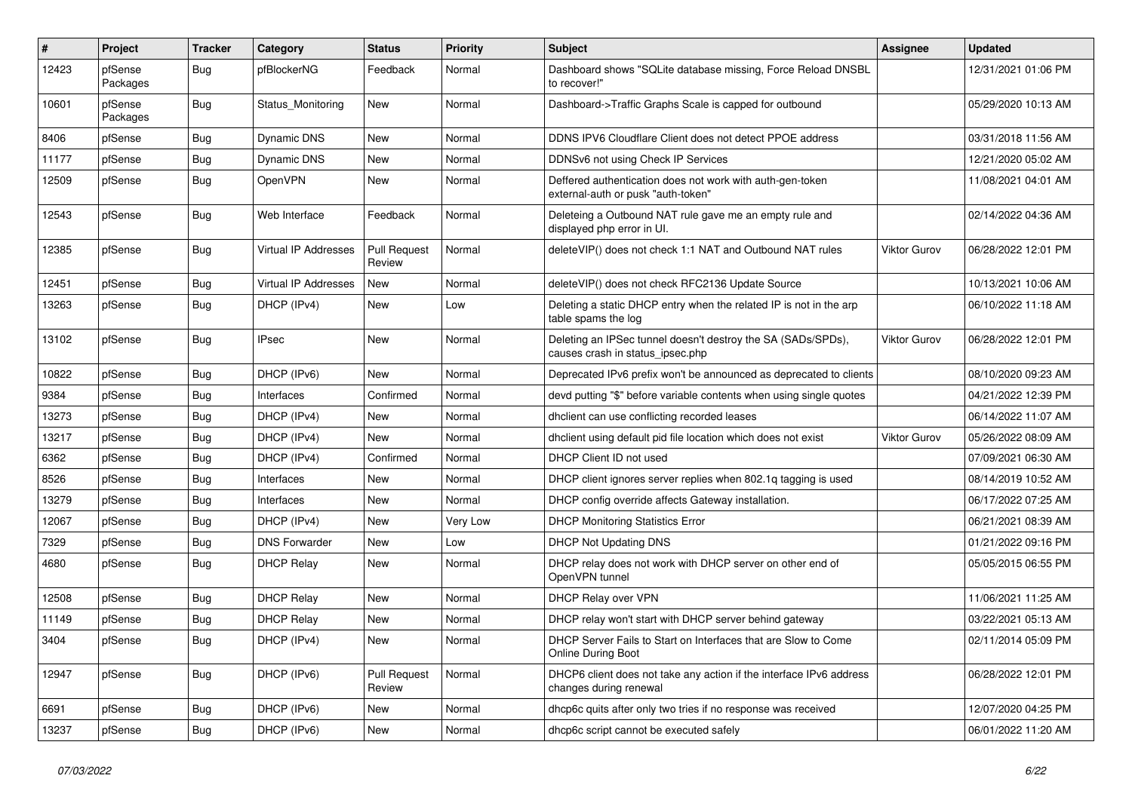| #     | Project             | <b>Tracker</b> | Category                    | <b>Status</b>                 | Priority | <b>Subject</b>                                                                                   | <b>Assignee</b> | <b>Updated</b>      |
|-------|---------------------|----------------|-----------------------------|-------------------------------|----------|--------------------------------------------------------------------------------------------------|-----------------|---------------------|
| 12423 | pfSense<br>Packages | Bug            | pfBlockerNG                 | Feedback                      | Normal   | Dashboard shows "SQLite database missing, Force Reload DNSBL<br>to recover!"                     |                 | 12/31/2021 01:06 PM |
| 10601 | pfSense<br>Packages | <b>Bug</b>     | Status_Monitoring           | New                           | Normal   | Dashboard->Traffic Graphs Scale is capped for outbound                                           |                 | 05/29/2020 10:13 AM |
| 8406  | pfSense             | Bug            | <b>Dynamic DNS</b>          | <b>New</b>                    | Normal   | DDNS IPV6 Cloudflare Client does not detect PPOE address                                         |                 | 03/31/2018 11:56 AM |
| 11177 | pfSense             | Bug            | Dynamic DNS                 | New                           | Normal   | DDNSv6 not using Check IP Services                                                               |                 | 12/21/2020 05:02 AM |
| 12509 | pfSense             | Bug            | <b>OpenVPN</b>              | <b>New</b>                    | Normal   | Deffered authentication does not work with auth-gen-token<br>external-auth or pusk "auth-token"  |                 | 11/08/2021 04:01 AM |
| 12543 | pfSense             | Bug            | Web Interface               | Feedback                      | Normal   | Deleteing a Outbound NAT rule gave me an empty rule and<br>displayed php error in UI.            |                 | 02/14/2022 04:36 AM |
| 12385 | pfSense             | Bug            | <b>Virtual IP Addresses</b> | <b>Pull Request</b><br>Review | Normal   | deleteVIP() does not check 1:1 NAT and Outbound NAT rules                                        | Viktor Gurov    | 06/28/2022 12:01 PM |
| 12451 | pfSense             | Bug            | <b>Virtual IP Addresses</b> | <b>New</b>                    | Normal   | deleteVIP() does not check RFC2136 Update Source                                                 |                 | 10/13/2021 10:06 AM |
| 13263 | pfSense             | <b>Bug</b>     | DHCP (IPv4)                 | New                           | Low      | Deleting a static DHCP entry when the related IP is not in the arp<br>table spams the log        |                 | 06/10/2022 11:18 AM |
| 13102 | pfSense             | Bug            | <b>IPsec</b>                | <b>New</b>                    | Normal   | Deleting an IPSec tunnel doesn't destroy the SA (SADs/SPDs),<br>causes crash in status ipsec.php | Viktor Gurov    | 06/28/2022 12:01 PM |
| 10822 | pfSense             | Bug            | DHCP (IPv6)                 | New                           | Normal   | Deprecated IPv6 prefix won't be announced as deprecated to clients                               |                 | 08/10/2020 09:23 AM |
| 9384  | pfSense             | Bug            | Interfaces                  | Confirmed                     | Normal   | devd putting "\$" before variable contents when using single quotes                              |                 | 04/21/2022 12:39 PM |
| 13273 | pfSense             | <b>Bug</b>     | DHCP (IPv4)                 | New                           | Normal   | dholient can use conflicting recorded leases                                                     |                 | 06/14/2022 11:07 AM |
| 13217 | pfSense             | Bug            | DHCP (IPv4)                 | <b>New</b>                    | Normal   | dhclient using default pid file location which does not exist                                    | Viktor Gurov    | 05/26/2022 08:09 AM |
| 6362  | pfSense             | Bug            | DHCP (IPv4)                 | Confirmed                     | Normal   | DHCP Client ID not used                                                                          |                 | 07/09/2021 06:30 AM |
| 8526  | pfSense             | <b>Bug</b>     | Interfaces                  | New                           | Normal   | DHCP client ignores server replies when 802.1q tagging is used                                   |                 | 08/14/2019 10:52 AM |
| 13279 | pfSense             | Bug            | Interfaces                  | <b>New</b>                    | Normal   | DHCP config override affects Gateway installation.                                               |                 | 06/17/2022 07:25 AM |
| 12067 | pfSense             | Bug            | DHCP (IPv4)                 | New                           | Very Low | <b>DHCP Monitoring Statistics Error</b>                                                          |                 | 06/21/2021 08:39 AM |
| 7329  | pfSense             | <b>Bug</b>     | <b>DNS Forwarder</b>        | New                           | Low      | DHCP Not Updating DNS                                                                            |                 | 01/21/2022 09:16 PM |
| 4680  | pfSense             | <b>Bug</b>     | <b>DHCP Relay</b>           | New                           | Normal   | DHCP relay does not work with DHCP server on other end of<br>OpenVPN tunnel                      |                 | 05/05/2015 06:55 PM |
| 12508 | pfSense             | Bug            | <b>DHCP Relay</b>           | <b>New</b>                    | Normal   | DHCP Relay over VPN                                                                              |                 | 11/06/2021 11:25 AM |
| 11149 | pfSense             | Bug            | <b>DHCP Relay</b>           | New                           | Normal   | DHCP relay won't start with DHCP server behind gateway                                           |                 | 03/22/2021 05:13 AM |
| 3404  | pfSense             | <b>Bug</b>     | DHCP (IPv4)                 | New                           | Normal   | DHCP Server Fails to Start on Interfaces that are Slow to Come<br><b>Online During Boot</b>      |                 | 02/11/2014 05:09 PM |
| 12947 | pfSense             | <b>Bug</b>     | DHCP (IPv6)                 | <b>Pull Request</b><br>Review | Normal   | DHCP6 client does not take any action if the interface IPv6 address<br>changes during renewal    |                 | 06/28/2022 12:01 PM |
| 6691  | pfSense             | Bug            | DHCP (IPv6)                 | New                           | Normal   | dhcp6c quits after only two tries if no response was received                                    |                 | 12/07/2020 04:25 PM |
| 13237 | pfSense             | <b>Bug</b>     | DHCP (IPv6)                 | New                           | Normal   | dhcp6c script cannot be executed safely                                                          |                 | 06/01/2022 11:20 AM |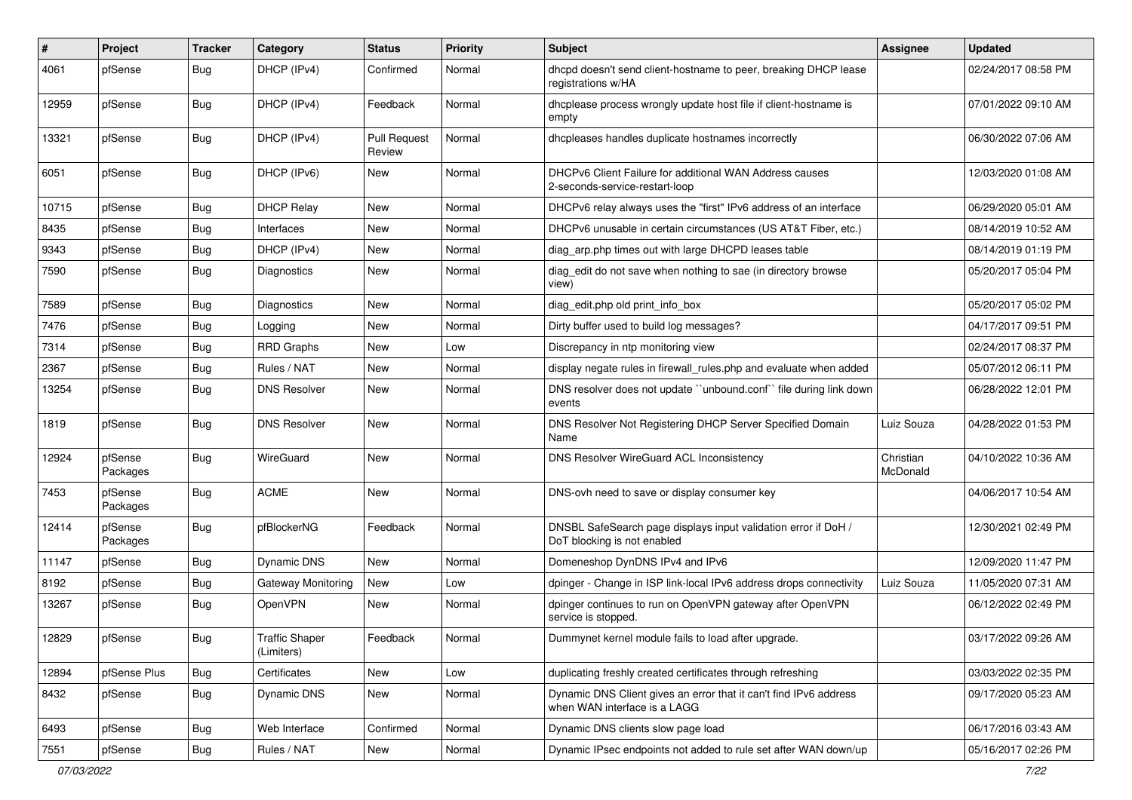| $\#$  | Project             | <b>Tracker</b> | Category                            | <b>Status</b>          | Priority | Subject                                                                                           | <b>Assignee</b>       | <b>Updated</b>      |
|-------|---------------------|----------------|-------------------------------------|------------------------|----------|---------------------------------------------------------------------------------------------------|-----------------------|---------------------|
| 4061  | pfSense             | Bug            | DHCP (IPv4)                         | Confirmed              | Normal   | dhcpd doesn't send client-hostname to peer, breaking DHCP lease<br>registrations w/HA             |                       | 02/24/2017 08:58 PM |
| 12959 | pfSense             | Bug            | DHCP (IPv4)                         | Feedback               | Normal   | dhcplease process wrongly update host file if client-hostname is<br>empty                         |                       | 07/01/2022 09:10 AM |
| 13321 | pfSense             | Bug            | DHCP (IPv4)                         | Pull Request<br>Review | Normal   | dhcpleases handles duplicate hostnames incorrectly                                                |                       | 06/30/2022 07:06 AM |
| 6051  | pfSense             | Bug            | DHCP (IPv6)                         | New                    | Normal   | DHCPv6 Client Failure for additional WAN Address causes<br>2-seconds-service-restart-loop         |                       | 12/03/2020 01:08 AM |
| 10715 | pfSense             | Bug            | <b>DHCP Relay</b>                   | New                    | Normal   | DHCPv6 relay always uses the "first" IPv6 address of an interface                                 |                       | 06/29/2020 05:01 AM |
| 8435  | pfSense             | Bug            | Interfaces                          | New                    | Normal   | DHCPv6 unusable in certain circumstances (US AT&T Fiber, etc.)                                    |                       | 08/14/2019 10:52 AM |
| 9343  | pfSense             | Bug            | DHCP (IPv4)                         | New                    | Normal   | diag_arp.php times out with large DHCPD leases table                                              |                       | 08/14/2019 01:19 PM |
| 7590  | pfSense             | Bug            | Diagnostics                         | New                    | Normal   | diag_edit do not save when nothing to sae (in directory browse<br>view)                           |                       | 05/20/2017 05:04 PM |
| 7589  | pfSense             | Bug            | Diagnostics                         | New                    | Normal   | diag edit.php old print info box                                                                  |                       | 05/20/2017 05:02 PM |
| 7476  | pfSense             | Bug            | Logging                             | New                    | Normal   | Dirty buffer used to build log messages?                                                          |                       | 04/17/2017 09:51 PM |
| 7314  | pfSense             | Bug            | <b>RRD Graphs</b>                   | <b>New</b>             | Low      | Discrepancy in ntp monitoring view                                                                |                       | 02/24/2017 08:37 PM |
| 2367  | pfSense             | <b>Bug</b>     | Rules / NAT                         | New                    | Normal   | display negate rules in firewall_rules.php and evaluate when added                                |                       | 05/07/2012 06:11 PM |
| 13254 | pfSense             | Bug            | <b>DNS Resolver</b>                 | New                    | Normal   | DNS resolver does not update "unbound.conf" file during link down<br>events                       |                       | 06/28/2022 12:01 PM |
| 1819  | pfSense             | Bug            | <b>DNS Resolver</b>                 | <b>New</b>             | Normal   | DNS Resolver Not Registering DHCP Server Specified Domain<br>Name                                 | Luiz Souza            | 04/28/2022 01:53 PM |
| 12924 | pfSense<br>Packages | <b>Bug</b>     | WireGuard                           | <b>New</b>             | Normal   | DNS Resolver WireGuard ACL Inconsistency                                                          | Christian<br>McDonald | 04/10/2022 10:36 AM |
| 7453  | pfSense<br>Packages | <b>Bug</b>     | <b>ACME</b>                         | <b>New</b>             | Normal   | DNS-ovh need to save or display consumer key                                                      |                       | 04/06/2017 10:54 AM |
| 12414 | pfSense<br>Packages | Bug            | pfBlockerNG                         | Feedback               | Normal   | DNSBL SafeSearch page displays input validation error if DoH /<br>DoT blocking is not enabled     |                       | 12/30/2021 02:49 PM |
| 11147 | pfSense             | Bug            | Dynamic DNS                         | <b>New</b>             | Normal   | Domeneshop DynDNS IPv4 and IPv6                                                                   |                       | 12/09/2020 11:47 PM |
| 8192  | pfSense             | Bug            | Gateway Monitoring                  | New                    | Low      | dpinger - Change in ISP link-local IPv6 address drops connectivity                                | Luiz Souza            | 11/05/2020 07:31 AM |
| 13267 | pfSense             | Bug            | OpenVPN                             | New                    | Normal   | dpinger continues to run on OpenVPN gateway after OpenVPN<br>service is stopped.                  |                       | 06/12/2022 02:49 PM |
| 12829 | pfSense             | <b>Bug</b>     | <b>Traffic Shaper</b><br>(Limiters) | Feedback               | Normal   | Dummynet kernel module fails to load after upgrade.                                               |                       | 03/17/2022 09:26 AM |
| 12894 | pfSense Plus        | Bug            | Certificates                        | New                    | Low      | duplicating freshly created certificates through refreshing                                       |                       | 03/03/2022 02:35 PM |
| 8432  | pfSense             | <b>Bug</b>     | <b>Dynamic DNS</b>                  | New                    | Normal   | Dynamic DNS Client gives an error that it can't find IPv6 address<br>when WAN interface is a LAGG |                       | 09/17/2020 05:23 AM |
| 6493  | pfSense             | <b>Bug</b>     | Web Interface                       | Confirmed              | Normal   | Dynamic DNS clients slow page load                                                                |                       | 06/17/2016 03:43 AM |
| 7551  | pfSense             | <b>Bug</b>     | Rules / NAT                         | New                    | Normal   | Dynamic IPsec endpoints not added to rule set after WAN down/up                                   |                       | 05/16/2017 02:26 PM |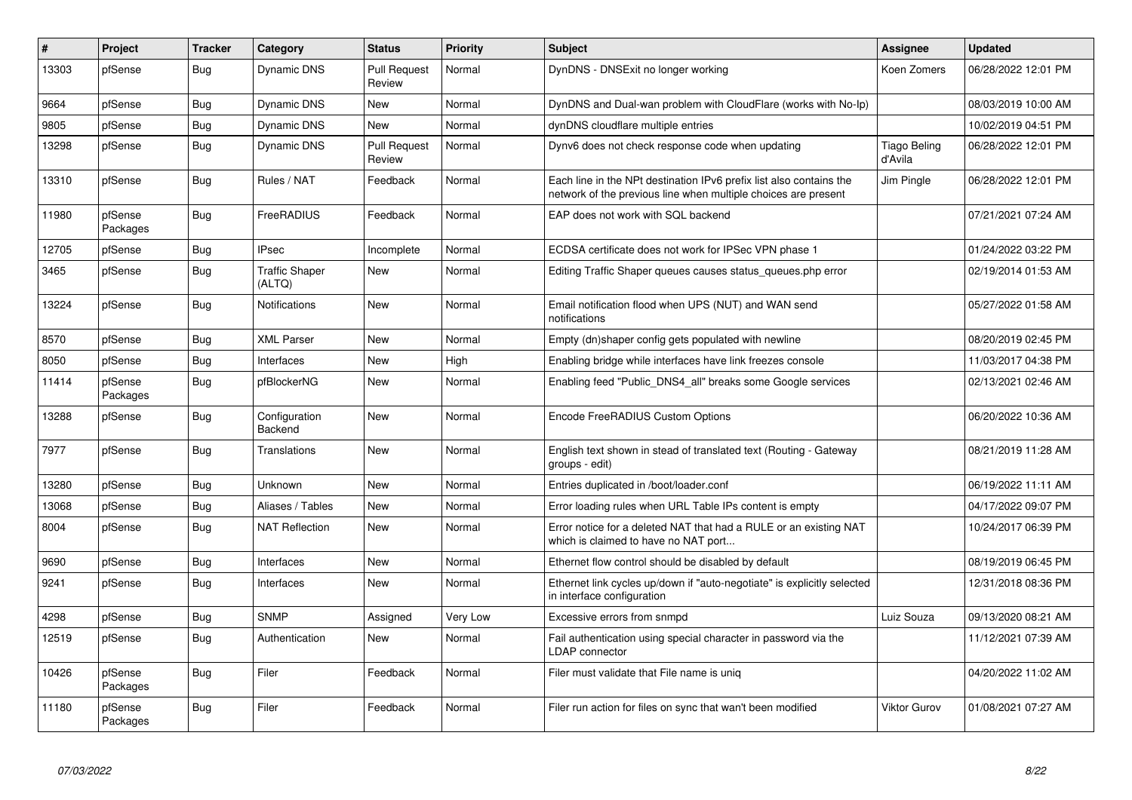| $\vert$ # | Project             | <b>Tracker</b> | Category                        | <b>Status</b>                 | <b>Priority</b> | <b>Subject</b>                                                                                                                        | <b>Assignee</b>                | <b>Updated</b>      |
|-----------|---------------------|----------------|---------------------------------|-------------------------------|-----------------|---------------------------------------------------------------------------------------------------------------------------------------|--------------------------------|---------------------|
| 13303     | pfSense             | <b>Bug</b>     | <b>Dynamic DNS</b>              | <b>Pull Request</b><br>Review | Normal          | DynDNS - DNSExit no longer working                                                                                                    | Koen Zomers                    | 06/28/2022 12:01 PM |
| 9664      | pfSense             | Bug            | Dynamic DNS                     | <b>New</b>                    | Normal          | DynDNS and Dual-wan problem with CloudFlare (works with No-Ip)                                                                        |                                | 08/03/2019 10:00 AM |
| 9805      | pfSense             | <b>Bug</b>     | <b>Dynamic DNS</b>              | <b>New</b>                    | Normal          | dynDNS cloudflare multiple entries                                                                                                    |                                | 10/02/2019 04:51 PM |
| 13298     | pfSense             | <b>Bug</b>     | <b>Dynamic DNS</b>              | <b>Pull Request</b><br>Review | Normal          | Dynv6 does not check response code when updating                                                                                      | <b>Tiago Beling</b><br>d'Avila | 06/28/2022 12:01 PM |
| 13310     | pfSense             | <b>Bug</b>     | Rules / NAT                     | Feedback                      | Normal          | Each line in the NPt destination IPv6 prefix list also contains the<br>network of the previous line when multiple choices are present | Jim Pingle                     | 06/28/2022 12:01 PM |
| 11980     | pfSense<br>Packages | Bug            | FreeRADIUS                      | Feedback                      | Normal          | EAP does not work with SQL backend                                                                                                    |                                | 07/21/2021 07:24 AM |
| 12705     | pfSense             | Bug            | <b>IPsec</b>                    | Incomplete                    | Normal          | ECDSA certificate does not work for IPSec VPN phase 1                                                                                 |                                | 01/24/2022 03:22 PM |
| 3465      | pfSense             | <b>Bug</b>     | <b>Traffic Shaper</b><br>(ALTQ) | New                           | Normal          | Editing Traffic Shaper queues causes status queues.php error                                                                          |                                | 02/19/2014 01:53 AM |
| 13224     | pfSense             | Bug            | Notifications                   | <b>New</b>                    | Normal          | Email notification flood when UPS (NUT) and WAN send<br>notifications                                                                 |                                | 05/27/2022 01:58 AM |
| 8570      | pfSense             | <b>Bug</b>     | <b>XML Parser</b>               | New                           | Normal          | Empty (dn)shaper config gets populated with newline                                                                                   |                                | 08/20/2019 02:45 PM |
| 8050      | pfSense             | <b>Bug</b>     | Interfaces                      | <b>New</b>                    | High            | Enabling bridge while interfaces have link freezes console                                                                            |                                | 11/03/2017 04:38 PM |
| 11414     | pfSense<br>Packages | Bug            | pfBlockerNG                     | New                           | Normal          | Enabling feed "Public_DNS4_all" breaks some Google services                                                                           |                                | 02/13/2021 02:46 AM |
| 13288     | pfSense             | Bug            | Configuration<br>Backend        | <b>New</b>                    | Normal          | Encode FreeRADIUS Custom Options                                                                                                      |                                | 06/20/2022 10:36 AM |
| 7977      | pfSense             | <b>Bug</b>     | Translations                    | <b>New</b>                    | Normal          | English text shown in stead of translated text (Routing - Gateway<br>groups - edit)                                                   |                                | 08/21/2019 11:28 AM |
| 13280     | pfSense             | Bug            | Unknown                         | <b>New</b>                    | Normal          | Entries duplicated in /boot/loader.conf                                                                                               |                                | 06/19/2022 11:11 AM |
| 13068     | pfSense             | Bug            | Aliases / Tables                | New                           | Normal          | Error loading rules when URL Table IPs content is empty                                                                               |                                | 04/17/2022 09:07 PM |
| 8004      | pfSense             | Bug            | <b>NAT Reflection</b>           | New                           | Normal          | Error notice for a deleted NAT that had a RULE or an existing NAT<br>which is claimed to have no NAT port                             |                                | 10/24/2017 06:39 PM |
| 9690      | pfSense             | <b>Bug</b>     | Interfaces                      | <b>New</b>                    | Normal          | Ethernet flow control should be disabled by default                                                                                   |                                | 08/19/2019 06:45 PM |
| 9241      | pfSense             | Bug            | Interfaces                      | <b>New</b>                    | Normal          | Ethernet link cycles up/down if "auto-negotiate" is explicitly selected<br>in interface configuration                                 |                                | 12/31/2018 08:36 PM |
| 4298      | pfSense             | Bug            | <b>SNMP</b>                     | Assigned                      | Very Low        | Excessive errors from snmpd                                                                                                           | Luiz Souza                     | 09/13/2020 08:21 AM |
| 12519     | pfSense             | <b>Bug</b>     | Authentication                  | <b>New</b>                    | Normal          | Fail authentication using special character in password via the<br><b>LDAP</b> connector                                              |                                | 11/12/2021 07:39 AM |
| 10426     | pfSense<br>Packages | Bug            | Filer                           | Feedback                      | Normal          | Filer must validate that File name is uniq                                                                                            |                                | 04/20/2022 11:02 AM |
| 11180     | pfSense<br>Packages | <b>Bug</b>     | Filer                           | Feedback                      | Normal          | Filer run action for files on sync that wan't been modified                                                                           | Viktor Gurov                   | 01/08/2021 07:27 AM |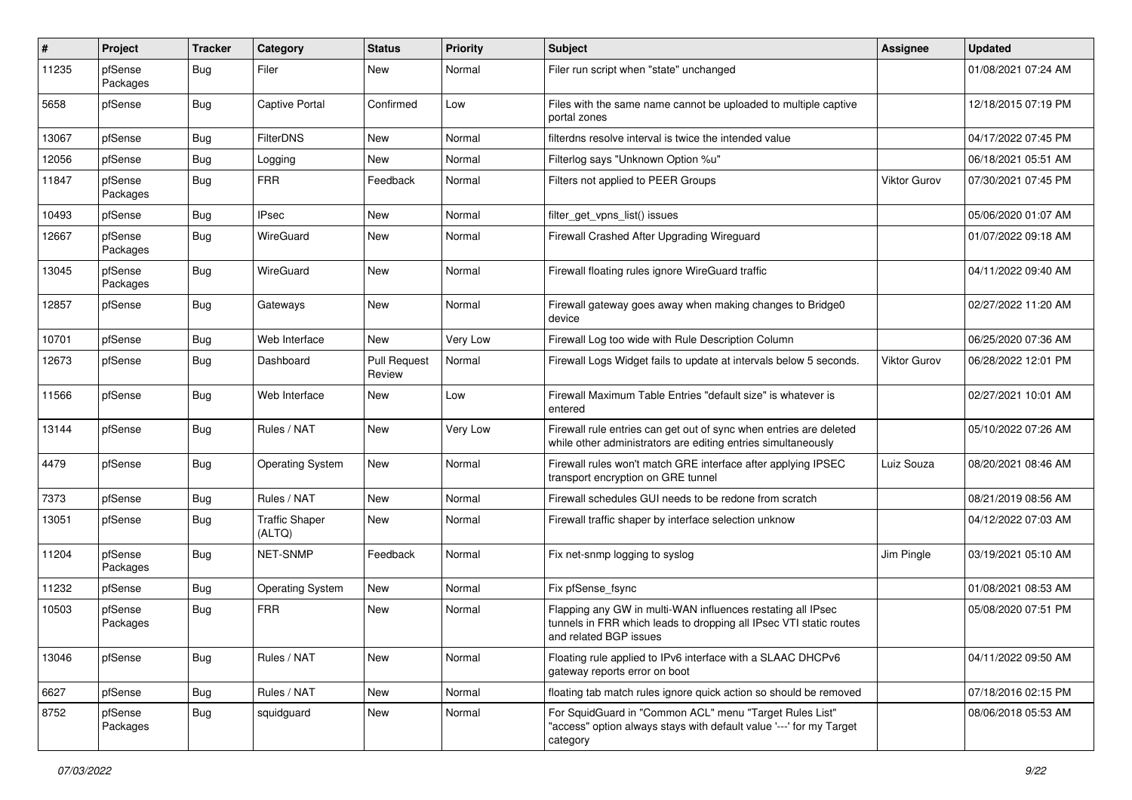| #     | Project             | <b>Tracker</b> | Category                        | <b>Status</b>                 | <b>Priority</b> | <b>Subject</b>                                                                                                                                              | <b>Assignee</b> | <b>Updated</b>      |
|-------|---------------------|----------------|---------------------------------|-------------------------------|-----------------|-------------------------------------------------------------------------------------------------------------------------------------------------------------|-----------------|---------------------|
| 11235 | pfSense<br>Packages | Bug            | Filer                           | New                           | Normal          | Filer run script when "state" unchanged                                                                                                                     |                 | 01/08/2021 07:24 AM |
| 5658  | pfSense             | <b>Bug</b>     | Captive Portal                  | Confirmed                     | Low             | Files with the same name cannot be uploaded to multiple captive<br>portal zones                                                                             |                 | 12/18/2015 07:19 PM |
| 13067 | pfSense             | Bug            | <b>FilterDNS</b>                | New                           | Normal          | filterdns resolve interval is twice the intended value                                                                                                      |                 | 04/17/2022 07:45 PM |
| 12056 | pfSense             | Bug            | Logging                         | New                           | Normal          | Filterlog says "Unknown Option %u"                                                                                                                          |                 | 06/18/2021 05:51 AM |
| 11847 | pfSense<br>Packages | <b>Bug</b>     | <b>FRR</b>                      | Feedback                      | Normal          | Filters not applied to PEER Groups                                                                                                                          | Viktor Gurov    | 07/30/2021 07:45 PM |
| 10493 | pfSense             | <b>Bug</b>     | <b>IPsec</b>                    | New                           | Normal          | filter_get_vpns_list() issues                                                                                                                               |                 | 05/06/2020 01:07 AM |
| 12667 | pfSense<br>Packages | Bug            | WireGuard                       | New                           | Normal          | Firewall Crashed After Upgrading Wireguard                                                                                                                  |                 | 01/07/2022 09:18 AM |
| 13045 | pfSense<br>Packages | Bug            | WireGuard                       | New                           | Normal          | Firewall floating rules ignore WireGuard traffic                                                                                                            |                 | 04/11/2022 09:40 AM |
| 12857 | pfSense             | Bug            | Gateways                        | New                           | Normal          | Firewall gateway goes away when making changes to Bridge0<br>device                                                                                         |                 | 02/27/2022 11:20 AM |
| 10701 | pfSense             | Bug            | Web Interface                   | <b>New</b>                    | Very Low        | Firewall Log too wide with Rule Description Column                                                                                                          |                 | 06/25/2020 07:36 AM |
| 12673 | pfSense             | Bug            | Dashboard                       | <b>Pull Request</b><br>Review | Normal          | Firewall Logs Widget fails to update at intervals below 5 seconds.                                                                                          | Viktor Gurov    | 06/28/2022 12:01 PM |
| 11566 | pfSense             | <b>Bug</b>     | Web Interface                   | New                           | Low             | Firewall Maximum Table Entries "default size" is whatever is<br>entered                                                                                     |                 | 02/27/2021 10:01 AM |
| 13144 | pfSense             | Bug            | Rules / NAT                     | New                           | Very Low        | Firewall rule entries can get out of sync when entries are deleted<br>while other administrators are editing entries simultaneously                         |                 | 05/10/2022 07:26 AM |
| 4479  | pfSense             | Bug            | <b>Operating System</b>         | New                           | Normal          | Firewall rules won't match GRE interface after applying IPSEC<br>transport encryption on GRE tunnel                                                         | Luiz Souza      | 08/20/2021 08:46 AM |
| 7373  | pfSense             | Bug            | Rules / NAT                     | New                           | Normal          | Firewall schedules GUI needs to be redone from scratch                                                                                                      |                 | 08/21/2019 08:56 AM |
| 13051 | pfSense             | Bug            | <b>Traffic Shaper</b><br>(ALTQ) | New                           | Normal          | Firewall traffic shaper by interface selection unknow                                                                                                       |                 | 04/12/2022 07:03 AM |
| 11204 | pfSense<br>Packages | Bug            | <b>NET-SNMP</b>                 | Feedback                      | Normal          | Fix net-snmp logging to syslog                                                                                                                              | Jim Pingle      | 03/19/2021 05:10 AM |
| 11232 | pfSense             | <b>Bug</b>     | Operating System                | New                           | Normal          | Fix pfSense fsync                                                                                                                                           |                 | 01/08/2021 08:53 AM |
| 10503 | pfSense<br>Packages | <b>Bug</b>     | <b>FRR</b>                      | New                           | Normal          | Flapping any GW in multi-WAN influences restating all IPsec<br>tunnels in FRR which leads to dropping all IPsec VTI static routes<br>and related BGP issues |                 | 05/08/2020 07:51 PM |
| 13046 | pfSense             | Bug            | Rules / NAT                     | New                           | Normal          | Floating rule applied to IPv6 interface with a SLAAC DHCPv6<br>gateway reports error on boot                                                                |                 | 04/11/2022 09:50 AM |
| 6627  | pfSense             | Bug            | Rules / NAT                     | New                           | Normal          | floating tab match rules ignore quick action so should be removed                                                                                           |                 | 07/18/2016 02:15 PM |
| 8752  | pfSense<br>Packages | <b>Bug</b>     | squidguard                      | New                           | Normal          | For SquidGuard in "Common ACL" menu "Target Rules List"<br>"access" option always stays with default value '---' for my Target<br>category                  |                 | 08/06/2018 05:53 AM |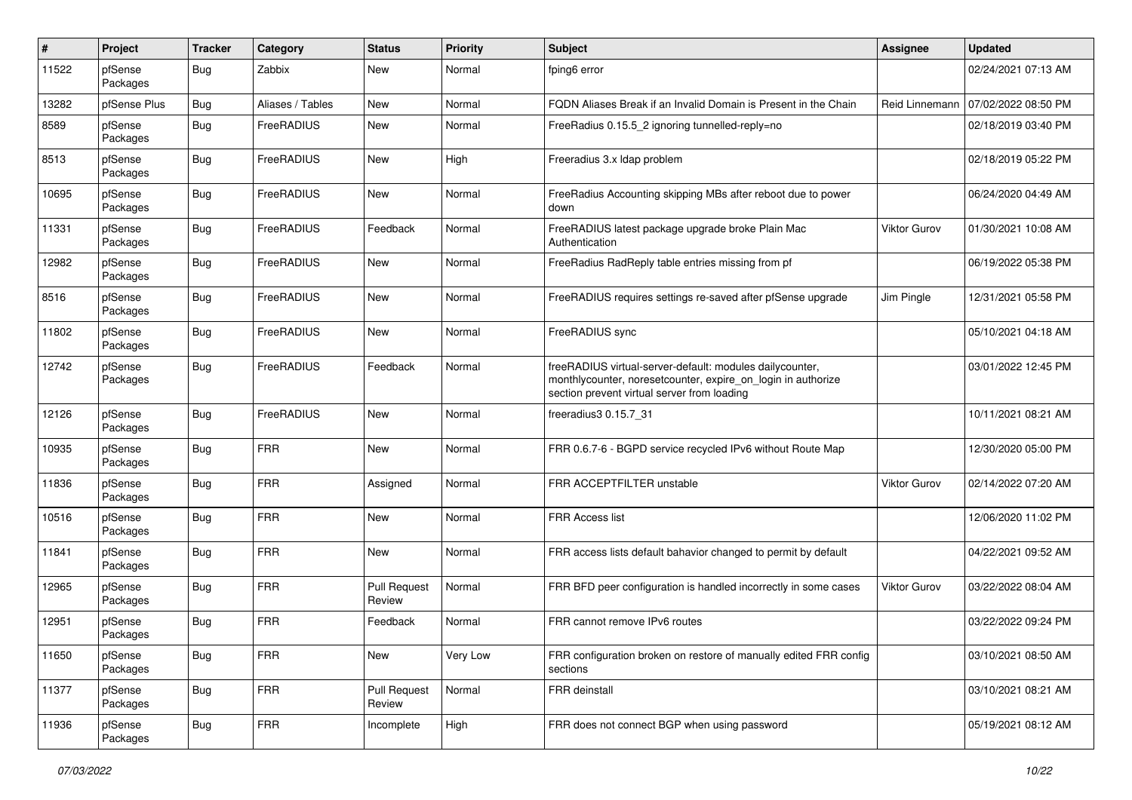| #     | Project             | <b>Tracker</b> | Category         | <b>Status</b>                 | <b>Priority</b> | <b>Subject</b>                                                                                                                                                          | <b>Assignee</b> | <b>Updated</b>      |
|-------|---------------------|----------------|------------------|-------------------------------|-----------------|-------------------------------------------------------------------------------------------------------------------------------------------------------------------------|-----------------|---------------------|
| 11522 | pfSense<br>Packages | Bug            | Zabbix           | New                           | Normal          | fping6 error                                                                                                                                                            |                 | 02/24/2021 07:13 AM |
| 13282 | pfSense Plus        | Bug            | Aliases / Tables | New                           | Normal          | FQDN Aliases Break if an Invalid Domain is Present in the Chain                                                                                                         | Reid Linnemann  | 07/02/2022 08:50 PM |
| 8589  | pfSense<br>Packages | Bug            | FreeRADIUS       | New                           | Normal          | FreeRadius 0.15.5 2 ignoring tunnelled-reply=no                                                                                                                         |                 | 02/18/2019 03:40 PM |
| 8513  | pfSense<br>Packages | <b>Bug</b>     | FreeRADIUS       | <b>New</b>                    | High            | Freeradius 3.x Idap problem                                                                                                                                             |                 | 02/18/2019 05:22 PM |
| 10695 | pfSense<br>Packages | <b>Bug</b>     | FreeRADIUS       | <b>New</b>                    | Normal          | FreeRadius Accounting skipping MBs after reboot due to power<br>down                                                                                                    |                 | 06/24/2020 04:49 AM |
| 11331 | pfSense<br>Packages | Bug            | FreeRADIUS       | Feedback                      | Normal          | FreeRADIUS latest package upgrade broke Plain Mac<br>Authentication                                                                                                     | Viktor Gurov    | 01/30/2021 10:08 AM |
| 12982 | pfSense<br>Packages | Bug            | FreeRADIUS       | <b>New</b>                    | Normal          | FreeRadius RadReply table entries missing from pf                                                                                                                       |                 | 06/19/2022 05:38 PM |
| 8516  | pfSense<br>Packages | <b>Bug</b>     | FreeRADIUS       | New                           | Normal          | FreeRADIUS requires settings re-saved after pfSense upgrade                                                                                                             | Jim Pingle      | 12/31/2021 05:58 PM |
| 11802 | pfSense<br>Packages | <b>Bug</b>     | FreeRADIUS       | <b>New</b>                    | Normal          | FreeRADIUS sync                                                                                                                                                         |                 | 05/10/2021 04:18 AM |
| 12742 | pfSense<br>Packages | Bug            | FreeRADIUS       | Feedback                      | Normal          | freeRADIUS virtual-server-default: modules dailycounter,<br>monthlycounter, noresetcounter, expire_on_login in authorize<br>section prevent virtual server from loading |                 | 03/01/2022 12:45 PM |
| 12126 | pfSense<br>Packages | <b>Bug</b>     | FreeRADIUS       | <b>New</b>                    | Normal          | freeradius3 0.15.7 31                                                                                                                                                   |                 | 10/11/2021 08:21 AM |
| 10935 | pfSense<br>Packages | Bug            | <b>FRR</b>       | <b>New</b>                    | Normal          | FRR 0.6.7-6 - BGPD service recycled IPv6 without Route Map                                                                                                              |                 | 12/30/2020 05:00 PM |
| 11836 | pfSense<br>Packages | <b>Bug</b>     | <b>FRR</b>       | Assigned                      | Normal          | FRR ACCEPTFILTER unstable                                                                                                                                               | Viktor Gurov    | 02/14/2022 07:20 AM |
| 10516 | pfSense<br>Packages | Bug            | <b>FRR</b>       | <b>New</b>                    | Normal          | FRR Access list                                                                                                                                                         |                 | 12/06/2020 11:02 PM |
| 11841 | pfSense<br>Packages | Bug            | <b>FRR</b>       | New                           | Normal          | FRR access lists default bahavior changed to permit by default                                                                                                          |                 | 04/22/2021 09:52 AM |
| 12965 | pfSense<br>Packages | Bug            | <b>FRR</b>       | <b>Pull Request</b><br>Review | Normal          | FRR BFD peer configuration is handled incorrectly in some cases                                                                                                         | Viktor Gurov    | 03/22/2022 08:04 AM |
| 12951 | pfSense<br>Packages | <b>Bug</b>     | <b>FRR</b>       | Feedback                      | Normal          | FRR cannot remove IPv6 routes                                                                                                                                           |                 | 03/22/2022 09:24 PM |
| 11650 | pfSense<br>Packages | <b>Bug</b>     | <b>FRR</b>       | New                           | Very Low        | FRR configuration broken on restore of manually edited FRR config<br>sections                                                                                           |                 | 03/10/2021 08:50 AM |
| 11377 | pfSense<br>Packages | <b>Bug</b>     | <b>FRR</b>       | <b>Pull Request</b><br>Review | Normal          | FRR deinstall                                                                                                                                                           |                 | 03/10/2021 08:21 AM |
| 11936 | pfSense<br>Packages | <b>Bug</b>     | <b>FRR</b>       | Incomplete                    | High            | FRR does not connect BGP when using password                                                                                                                            |                 | 05/19/2021 08:12 AM |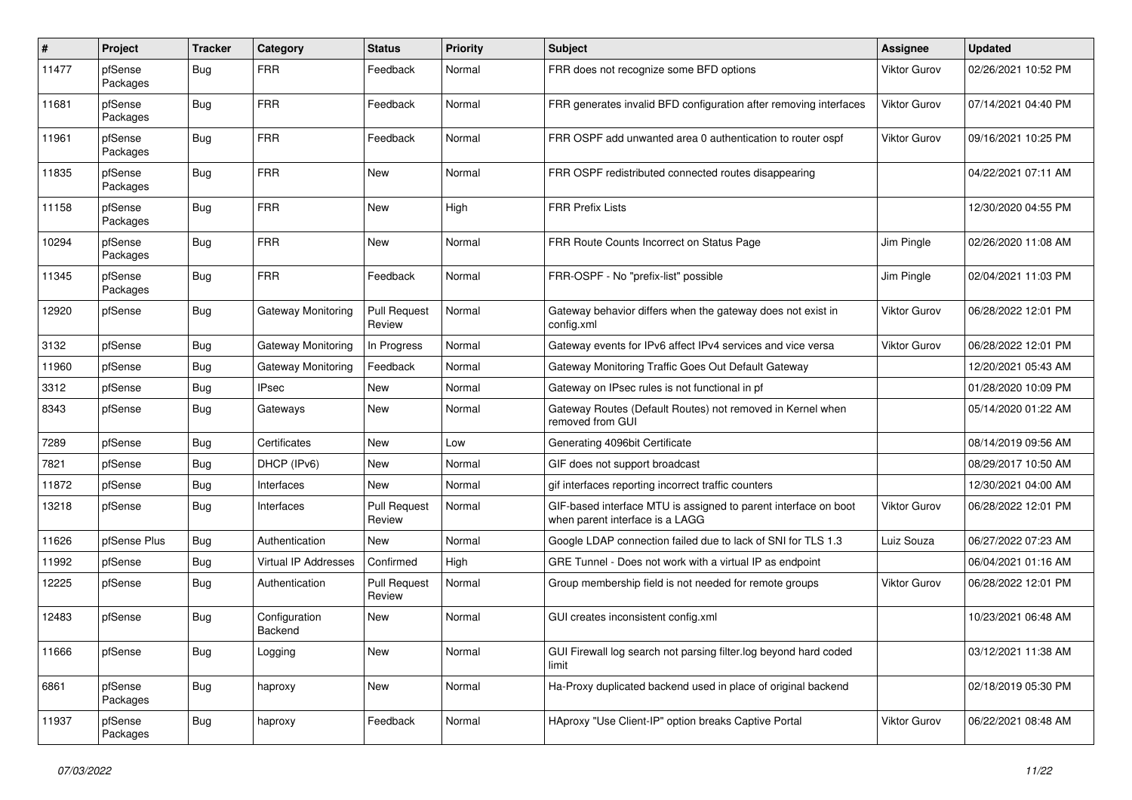| #     | Project             | <b>Tracker</b> | Category                    | <b>Status</b>                 | <b>Priority</b> | Subject                                                                                            | <b>Assignee</b>     | <b>Updated</b>      |
|-------|---------------------|----------------|-----------------------------|-------------------------------|-----------------|----------------------------------------------------------------------------------------------------|---------------------|---------------------|
| 11477 | pfSense<br>Packages | <b>Bug</b>     | <b>FRR</b>                  | Feedback                      | Normal          | FRR does not recognize some BFD options                                                            | <b>Viktor Gurov</b> | 02/26/2021 10:52 PM |
| 11681 | pfSense<br>Packages | Bug            | <b>FRR</b>                  | Feedback                      | Normal          | FRR generates invalid BFD configuration after removing interfaces                                  | Viktor Gurov        | 07/14/2021 04:40 PM |
| 11961 | pfSense<br>Packages | <b>Bug</b>     | <b>FRR</b>                  | Feedback                      | Normal          | FRR OSPF add unwanted area 0 authentication to router ospf                                         | Viktor Gurov        | 09/16/2021 10:25 PM |
| 11835 | pfSense<br>Packages | <b>Bug</b>     | <b>FRR</b>                  | <b>New</b>                    | Normal          | FRR OSPF redistributed connected routes disappearing                                               |                     | 04/22/2021 07:11 AM |
| 11158 | pfSense<br>Packages | <b>Bug</b>     | <b>FRR</b>                  | <b>New</b>                    | High            | <b>FRR Prefix Lists</b>                                                                            |                     | 12/30/2020 04:55 PM |
| 10294 | pfSense<br>Packages | <b>Bug</b>     | <b>FRR</b>                  | <b>New</b>                    | Normal          | FRR Route Counts Incorrect on Status Page                                                          | Jim Pingle          | 02/26/2020 11:08 AM |
| 11345 | pfSense<br>Packages | Bug            | <b>FRR</b>                  | Feedback                      | Normal          | FRR-OSPF - No "prefix-list" possible                                                               | Jim Pingle          | 02/04/2021 11:03 PM |
| 12920 | pfSense             | Bug            | Gateway Monitoring          | <b>Pull Request</b><br>Review | Normal          | Gateway behavior differs when the gateway does not exist in<br>config.xml                          | <b>Viktor Gurov</b> | 06/28/2022 12:01 PM |
| 3132  | pfSense             | Bug            | Gateway Monitoring          | In Progress                   | Normal          | Gateway events for IPv6 affect IPv4 services and vice versa                                        | <b>Viktor Gurov</b> | 06/28/2022 12:01 PM |
| 11960 | pfSense             | Bug            | Gateway Monitoring          | Feedback                      | Normal          | Gateway Monitoring Traffic Goes Out Default Gateway                                                |                     | 12/20/2021 05:43 AM |
| 3312  | pfSense             | <b>Bug</b>     | <b>IPsec</b>                | New                           | Normal          | Gateway on IPsec rules is not functional in pf                                                     |                     | 01/28/2020 10:09 PM |
| 8343  | pfSense             | <b>Bug</b>     | Gateways                    | <b>New</b>                    | Normal          | Gateway Routes (Default Routes) not removed in Kernel when<br>removed from GUI                     |                     | 05/14/2020 01:22 AM |
| 7289  | pfSense             | <b>Bug</b>     | Certificates                | New                           | Low             | Generating 4096bit Certificate                                                                     |                     | 08/14/2019 09:56 AM |
| 7821  | pfSense             | Bug            | DHCP (IPv6)                 | New                           | Normal          | GIF does not support broadcast                                                                     |                     | 08/29/2017 10:50 AM |
| 11872 | pfSense             | <b>Bug</b>     | Interfaces                  | New                           | Normal          | gif interfaces reporting incorrect traffic counters                                                |                     | 12/30/2021 04:00 AM |
| 13218 | pfSense             | Bug            | Interfaces                  | <b>Pull Request</b><br>Review | Normal          | GIF-based interface MTU is assigned to parent interface on boot<br>when parent interface is a LAGG | Viktor Gurov        | 06/28/2022 12:01 PM |
| 11626 | pfSense Plus        | <b>Bug</b>     | Authentication              | New                           | Normal          | Google LDAP connection failed due to lack of SNI for TLS 1.3                                       | Luiz Souza          | 06/27/2022 07:23 AM |
| 11992 | pfSense             | <b>Bug</b>     | <b>Virtual IP Addresses</b> | Confirmed                     | High            | GRE Tunnel - Does not work with a virtual IP as endpoint                                           |                     | 06/04/2021 01:16 AM |
| 12225 | pfSense             | Bug            | Authentication              | Pull Request<br>Review        | Normal          | Group membership field is not needed for remote groups                                             | Viktor Gurov        | 06/28/2022 12:01 PM |
| 12483 | pfSense             | <b>Bug</b>     | Configuration<br>Backend    | <b>New</b>                    | Normal          | GUI creates inconsistent config.xml                                                                |                     | 10/23/2021 06:48 AM |
| 11666 | pfSense             | Bug            | Logging                     | New                           | Normal          | GUI Firewall log search not parsing filter.log beyond hard coded<br>limit                          |                     | 03/12/2021 11:38 AM |
| 6861  | pfSense<br>Packages | <b>Bug</b>     | haproxy                     | New                           | Normal          | Ha-Proxy duplicated backend used in place of original backend                                      |                     | 02/18/2019 05:30 PM |
| 11937 | pfSense<br>Packages | <b>Bug</b>     | haproxy                     | Feedback                      | Normal          | HAproxy "Use Client-IP" option breaks Captive Portal                                               | Viktor Gurov        | 06/22/2021 08:48 AM |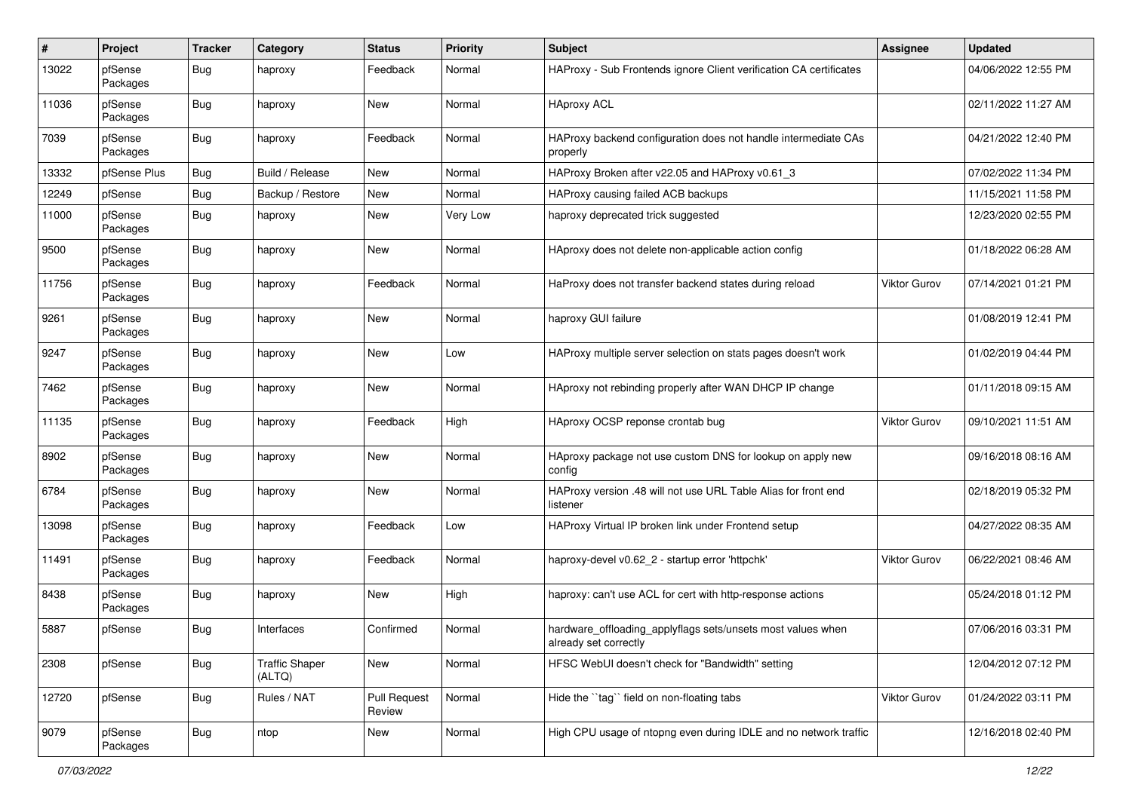| #     | Project             | <b>Tracker</b> | Category                        | <b>Status</b>                 | <b>Priority</b> | Subject                                                                              | <b>Assignee</b>     | <b>Updated</b>      |
|-------|---------------------|----------------|---------------------------------|-------------------------------|-----------------|--------------------------------------------------------------------------------------|---------------------|---------------------|
| 13022 | pfSense<br>Packages | Bug            | haproxy                         | Feedback                      | Normal          | HAProxy - Sub Frontends ignore Client verification CA certificates                   |                     | 04/06/2022 12:55 PM |
| 11036 | pfSense<br>Packages | Bug            | haproxy                         | New                           | Normal          | <b>HAproxy ACL</b>                                                                   |                     | 02/11/2022 11:27 AM |
| 7039  | pfSense<br>Packages | <b>Bug</b>     | haproxy                         | Feedback                      | Normal          | HAProxy backend configuration does not handle intermediate CAs<br>properly           |                     | 04/21/2022 12:40 PM |
| 13332 | pfSense Plus        | Bug            | Build / Release                 | <b>New</b>                    | Normal          | HAProxy Broken after v22.05 and HAProxy v0.61_3                                      |                     | 07/02/2022 11:34 PM |
| 12249 | pfSense             | Bug            | Backup / Restore                | New                           | Normal          | HAProxy causing failed ACB backups                                                   |                     | 11/15/2021 11:58 PM |
| 11000 | pfSense<br>Packages | <b>Bug</b>     | haproxy                         | New                           | Very Low        | haproxy deprecated trick suggested                                                   |                     | 12/23/2020 02:55 PM |
| 9500  | pfSense<br>Packages | <b>Bug</b>     | haproxy                         | <b>New</b>                    | Normal          | HAproxy does not delete non-applicable action config                                 |                     | 01/18/2022 06:28 AM |
| 11756 | pfSense<br>Packages | <b>Bug</b>     | haproxy                         | Feedback                      | Normal          | HaProxy does not transfer backend states during reload                               | <b>Viktor Gurov</b> | 07/14/2021 01:21 PM |
| 9261  | pfSense<br>Packages | <b>Bug</b>     | haproxy                         | New                           | Normal          | haproxy GUI failure                                                                  |                     | 01/08/2019 12:41 PM |
| 9247  | pfSense<br>Packages | <b>Bug</b>     | haproxy                         | <b>New</b>                    | Low             | HAProxy multiple server selection on stats pages doesn't work                        |                     | 01/02/2019 04:44 PM |
| 7462  | pfSense<br>Packages | <b>Bug</b>     | haproxy                         | <b>New</b>                    | Normal          | HAproxy not rebinding properly after WAN DHCP IP change                              |                     | 01/11/2018 09:15 AM |
| 11135 | pfSense<br>Packages | <b>Bug</b>     | haproxy                         | Feedback                      | High            | HAproxy OCSP reponse crontab bug                                                     | Viktor Gurov        | 09/10/2021 11:51 AM |
| 8902  | pfSense<br>Packages | <b>Bug</b>     | haproxy                         | <b>New</b>                    | Normal          | HAproxy package not use custom DNS for lookup on apply new<br>config                 |                     | 09/16/2018 08:16 AM |
| 6784  | pfSense<br>Packages | <b>Bug</b>     | haproxy                         | <b>New</b>                    | Normal          | HAProxy version .48 will not use URL Table Alias for front end<br>listener           |                     | 02/18/2019 05:32 PM |
| 13098 | pfSense<br>Packages | <b>Bug</b>     | haproxy                         | Feedback                      | Low             | HAProxy Virtual IP broken link under Frontend setup                                  |                     | 04/27/2022 08:35 AM |
| 11491 | pfSense<br>Packages | <b>Bug</b>     | haproxy                         | Feedback                      | Normal          | haproxy-devel v0.62_2 - startup error 'httpchk'                                      | Viktor Gurov        | 06/22/2021 08:46 AM |
| 8438  | pfSense<br>Packages | Bug            | haproxy                         | <b>New</b>                    | High            | haproxy: can't use ACL for cert with http-response actions                           |                     | 05/24/2018 01:12 PM |
| 5887  | pfSense             | Bug            | Interfaces                      | Confirmed                     | Normal          | hardware_offloading_applyflags sets/unsets most values when<br>already set correctly |                     | 07/06/2016 03:31 PM |
| 2308  | pfSense             | <b>Bug</b>     | <b>Traffic Shaper</b><br>(ALTQ) | New                           | Normal          | HFSC WebUI doesn't check for "Bandwidth" setting                                     |                     | 12/04/2012 07:12 PM |
| 12720 | pfSense             | <b>Bug</b>     | Rules / NAT                     | <b>Pull Request</b><br>Review | Normal          | Hide the "tag" field on non-floating tabs                                            | Viktor Gurov        | 01/24/2022 03:11 PM |
| 9079  | pfSense<br>Packages | <b>Bug</b>     | ntop                            | New                           | Normal          | High CPU usage of ntopng even during IDLE and no network traffic                     |                     | 12/16/2018 02:40 PM |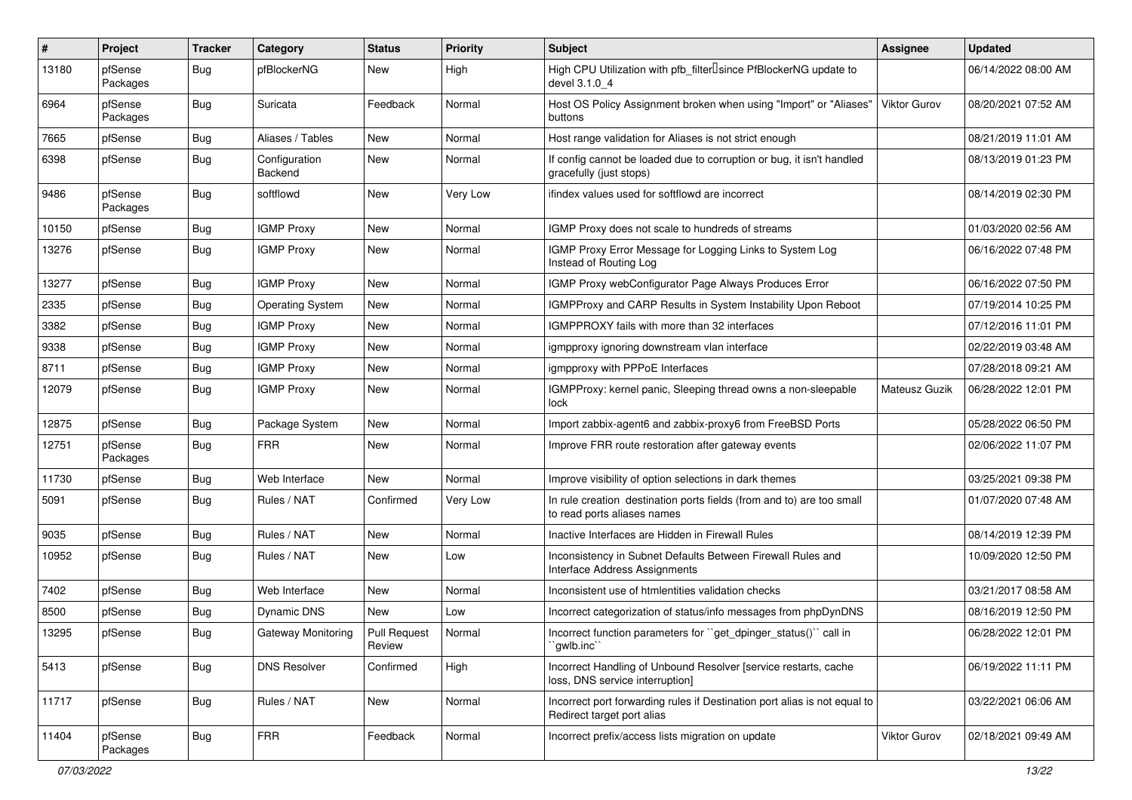| #     | Project             | <b>Tracker</b> | Category                 | <b>Status</b>          | <b>Priority</b> | <b>Subject</b>                                                                                          | <b>Assignee</b> | <b>Updated</b>      |
|-------|---------------------|----------------|--------------------------|------------------------|-----------------|---------------------------------------------------------------------------------------------------------|-----------------|---------------------|
| 13180 | pfSense<br>Packages | Bug            | pfBlockerNG              | New                    | High            | High CPU Utilization with pfb_filter <sup>[]</sup> since PfBlockerNG update to<br>devel 3.1.0 4         |                 | 06/14/2022 08:00 AM |
| 6964  | pfSense<br>Packages | <b>Bug</b>     | Suricata                 | Feedback               | Normal          | Host OS Policy Assignment broken when using "Import" or "Aliases"<br>buttons                            | Viktor Gurov    | 08/20/2021 07:52 AM |
| 7665  | pfSense             | <b>Bug</b>     | Aliases / Tables         | New                    | Normal          | Host range validation for Aliases is not strict enough                                                  |                 | 08/21/2019 11:01 AM |
| 6398  | pfSense             | <b>Bug</b>     | Configuration<br>Backend | New                    | Normal          | If config cannot be loaded due to corruption or bug, it isn't handled<br>gracefully (just stops)        |                 | 08/13/2019 01:23 PM |
| 9486  | pfSense<br>Packages | <b>Bug</b>     | softflowd                | New                    | Very Low        | ifindex values used for softflowd are incorrect                                                         |                 | 08/14/2019 02:30 PM |
| 10150 | pfSense             | <b>Bug</b>     | <b>IGMP Proxy</b>        | New                    | Normal          | IGMP Proxy does not scale to hundreds of streams                                                        |                 | 01/03/2020 02:56 AM |
| 13276 | pfSense             | <b>Bug</b>     | <b>IGMP Proxy</b>        | New                    | Normal          | IGMP Proxy Error Message for Logging Links to System Log<br>Instead of Routing Log                      |                 | 06/16/2022 07:48 PM |
| 13277 | pfSense             | Bug            | <b>IGMP Proxy</b>        | New                    | Normal          | IGMP Proxy webConfigurator Page Always Produces Error                                                   |                 | 06/16/2022 07:50 PM |
| 2335  | pfSense             | Bug            | <b>Operating System</b>  | New                    | Normal          | <b>IGMPProxy and CARP Results in System Instability Upon Reboot</b>                                     |                 | 07/19/2014 10:25 PM |
| 3382  | pfSense             | Bug            | <b>IGMP Proxy</b>        | New                    | Normal          | IGMPPROXY fails with more than 32 interfaces                                                            |                 | 07/12/2016 11:01 PM |
| 9338  | pfSense             | Bug            | <b>IGMP Proxy</b>        | New                    | Normal          | igmpproxy ignoring downstream vlan interface                                                            |                 | 02/22/2019 03:48 AM |
| 8711  | pfSense             | <b>Bug</b>     | <b>IGMP Proxy</b>        | New                    | Normal          | igmpproxy with PPPoE Interfaces                                                                         |                 | 07/28/2018 09:21 AM |
| 12079 | pfSense             | Bug            | <b>IGMP Proxy</b>        | New                    | Normal          | IGMPProxy: kernel panic, Sleeping thread owns a non-sleepable<br>lock                                   | Mateusz Guzik   | 06/28/2022 12:01 PM |
| 12875 | pfSense             | Bug            | Package System           | <b>New</b>             | Normal          | Import zabbix-agent6 and zabbix-proxy6 from FreeBSD Ports                                               |                 | 05/28/2022 06:50 PM |
| 12751 | pfSense<br>Packages | <b>Bug</b>     | <b>FRR</b>               | New                    | Normal          | Improve FRR route restoration after gateway events                                                      |                 | 02/06/2022 11:07 PM |
| 11730 | pfSense             | Bug            | Web Interface            | New                    | Normal          | Improve visibility of option selections in dark themes                                                  |                 | 03/25/2021 09:38 PM |
| 5091  | pfSense             | <b>Bug</b>     | Rules / NAT              | Confirmed              | Very Low        | In rule creation destination ports fields (from and to) are too small<br>to read ports aliases names    |                 | 01/07/2020 07:48 AM |
| 9035  | pfSense             | Bug            | Rules / NAT              | New                    | Normal          | Inactive Interfaces are Hidden in Firewall Rules                                                        |                 | 08/14/2019 12:39 PM |
| 10952 | pfSense             | <b>Bug</b>     | Rules / NAT              | New                    | Low             | Inconsistency in Subnet Defaults Between Firewall Rules and<br>Interface Address Assignments            |                 | 10/09/2020 12:50 PM |
| 7402  | pfSense             | Bug            | Web Interface            | New                    | Normal          | Inconsistent use of htmlentities validation checks                                                      |                 | 03/21/2017 08:58 AM |
| 8500  | pfSense             | Bug            | <b>Dynamic DNS</b>       | <b>New</b>             | Low             | Incorrect categorization of status/info messages from phpDynDNS                                         |                 | 08/16/2019 12:50 PM |
| 13295 | pfSense             | Bug            | Gateway Monitoring       | Pull Request<br>Review | Normal          | Incorrect function parameters for "get_dpinger_status()" call in<br>`gwlb.inc``                         |                 | 06/28/2022 12:01 PM |
| 5413  | pfSense             | <b>Bug</b>     | <b>DNS Resolver</b>      | Confirmed              | High            | Incorrect Handling of Unbound Resolver [service restarts, cache<br>loss, DNS service interruption]      |                 | 06/19/2022 11:11 PM |
| 11717 | pfSense             | <b>Bug</b>     | Rules / NAT              | New                    | Normal          | Incorrect port forwarding rules if Destination port alias is not equal to<br>Redirect target port alias |                 | 03/22/2021 06:06 AM |
| 11404 | pfSense<br>Packages | <b>Bug</b>     | <b>FRR</b>               | Feedback               | Normal          | Incorrect prefix/access lists migration on update                                                       | Viktor Gurov    | 02/18/2021 09:49 AM |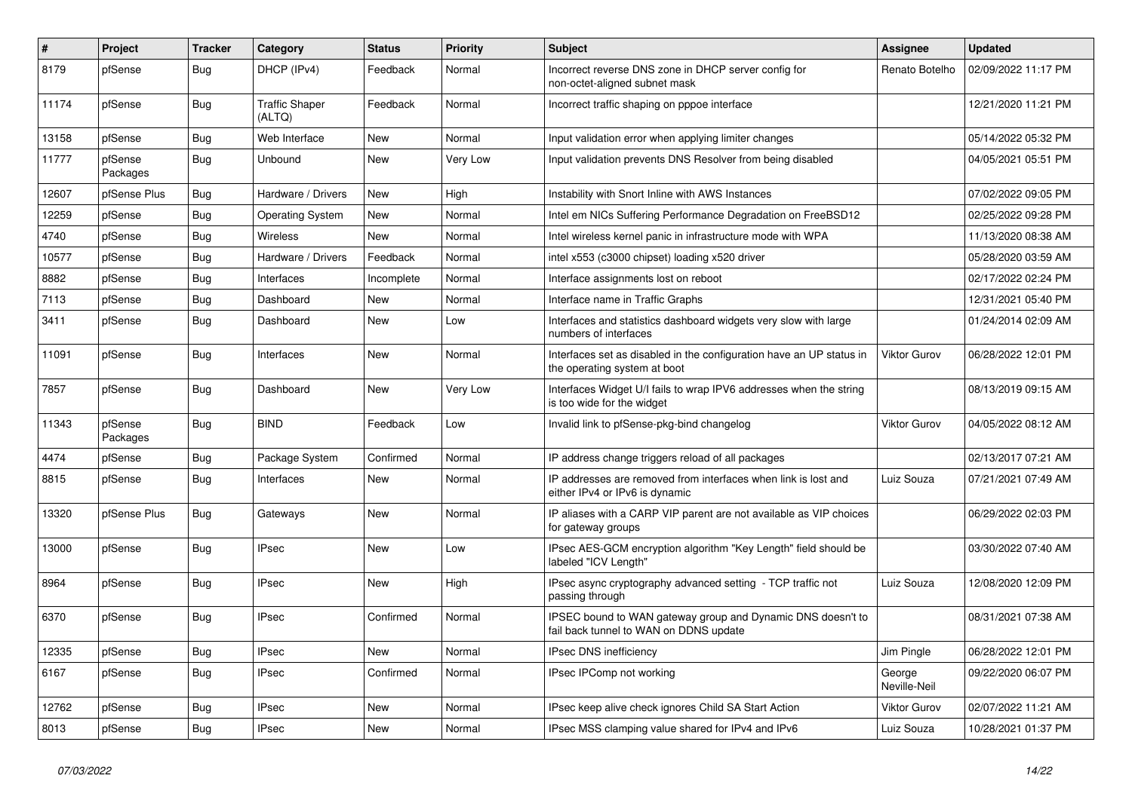| $\vert$ # | Project             | <b>Tracker</b> | Category                        | <b>Status</b> | Priority | <b>Subject</b>                                                                                        | <b>Assignee</b>        | <b>Updated</b>      |
|-----------|---------------------|----------------|---------------------------------|---------------|----------|-------------------------------------------------------------------------------------------------------|------------------------|---------------------|
| 8179      | pfSense             | <b>Bug</b>     | DHCP (IPv4)                     | Feedback      | Normal   | Incorrect reverse DNS zone in DHCP server config for<br>non-octet-aligned subnet mask                 | Renato Botelho         | 02/09/2022 11:17 PM |
| 11174     | pfSense             | Bug            | <b>Traffic Shaper</b><br>(ALTQ) | Feedback      | Normal   | Incorrect traffic shaping on pppoe interface                                                          |                        | 12/21/2020 11:21 PM |
| 13158     | pfSense             | <b>Bug</b>     | Web Interface                   | <b>New</b>    | Normal   | Input validation error when applying limiter changes                                                  |                        | 05/14/2022 05:32 PM |
| 11777     | pfSense<br>Packages | Bug            | Unbound                         | <b>New</b>    | Very Low | Input validation prevents DNS Resolver from being disabled                                            |                        | 04/05/2021 05:51 PM |
| 12607     | pfSense Plus        | <b>Bug</b>     | Hardware / Drivers              | <b>New</b>    | High     | Instability with Snort Inline with AWS Instances                                                      |                        | 07/02/2022 09:05 PM |
| 12259     | pfSense             | Bug            | <b>Operating System</b>         | <b>New</b>    | Normal   | Intel em NICs Suffering Performance Degradation on FreeBSD12                                          |                        | 02/25/2022 09:28 PM |
| 4740      | pfSense             | Bug            | Wireless                        | New           | Normal   | Intel wireless kernel panic in infrastructure mode with WPA                                           |                        | 11/13/2020 08:38 AM |
| 10577     | pfSense             | Bug            | Hardware / Drivers              | Feedback      | Normal   | intel x553 (c3000 chipset) loading x520 driver                                                        |                        | 05/28/2020 03:59 AM |
| 8882      | pfSense             | Bug            | Interfaces                      | Incomplete    | Normal   | Interface assignments lost on reboot                                                                  |                        | 02/17/2022 02:24 PM |
| 7113      | pfSense             | <b>Bug</b>     | Dashboard                       | New           | Normal   | Interface name in Traffic Graphs                                                                      |                        | 12/31/2021 05:40 PM |
| 3411      | pfSense             | Bug            | Dashboard                       | <b>New</b>    | Low      | Interfaces and statistics dashboard widgets very slow with large<br>numbers of interfaces             |                        | 01/24/2014 02:09 AM |
| 11091     | pfSense             | <b>Bug</b>     | Interfaces                      | <b>New</b>    | Normal   | Interfaces set as disabled in the configuration have an UP status in<br>the operating system at boot  | <b>Viktor Gurov</b>    | 06/28/2022 12:01 PM |
| 7857      | pfSense             | Bug            | Dashboard                       | <b>New</b>    | Very Low | Interfaces Widget U/I fails to wrap IPV6 addresses when the string<br>is too wide for the widget      |                        | 08/13/2019 09:15 AM |
| 11343     | pfSense<br>Packages | Bug            | <b>BIND</b>                     | Feedback      | Low      | Invalid link to pfSense-pkg-bind changelog                                                            | <b>Viktor Gurov</b>    | 04/05/2022 08:12 AM |
| 4474      | pfSense             | <b>Bug</b>     | Package System                  | Confirmed     | Normal   | IP address change triggers reload of all packages                                                     |                        | 02/13/2017 07:21 AM |
| 8815      | pfSense             | <b>Bug</b>     | Interfaces                      | <b>New</b>    | Normal   | IP addresses are removed from interfaces when link is lost and<br>either IPv4 or IPv6 is dynamic      | Luiz Souza             | 07/21/2021 07:49 AM |
| 13320     | pfSense Plus        | Bug            | Gateways                        | <b>New</b>    | Normal   | IP aliases with a CARP VIP parent are not available as VIP choices<br>for gateway groups              |                        | 06/29/2022 02:03 PM |
| 13000     | pfSense             | Bug            | <b>IPsec</b>                    | <b>New</b>    | Low      | IPsec AES-GCM encryption algorithm "Key Length" field should be<br>labeled "ICV Length"               |                        | 03/30/2022 07:40 AM |
| 8964      | pfSense             | Bug            | <b>IPsec</b>                    | <b>New</b>    | High     | IPsec async cryptography advanced setting - TCP traffic not<br>passing through                        | Luiz Souza             | 12/08/2020 12:09 PM |
| 6370      | pfSense             | <b>Bug</b>     | <b>IPsec</b>                    | Confirmed     | Normal   | IPSEC bound to WAN gateway group and Dynamic DNS doesn't to<br>fail back tunnel to WAN on DDNS update |                        | 08/31/2021 07:38 AM |
| 12335     | pfSense             | Bug            | <b>IPsec</b>                    | <b>New</b>    | Normal   | <b>IPsec DNS inefficiency</b>                                                                         | Jim Pingle             | 06/28/2022 12:01 PM |
| 6167      | pfSense             | Bug            | <b>IPsec</b>                    | Confirmed     | Normal   | IPsec IPComp not working                                                                              | George<br>Neville-Neil | 09/22/2020 06:07 PM |
| 12762     | pfSense             | <b>Bug</b>     | <b>IPsec</b>                    | <b>New</b>    | Normal   | IPsec keep alive check ignores Child SA Start Action                                                  | Viktor Gurov           | 02/07/2022 11:21 AM |
| 8013      | pfSense             | <b>Bug</b>     | <b>IPsec</b>                    | New           | Normal   | IPsec MSS clamping value shared for IPv4 and IPv6                                                     | Luiz Souza             | 10/28/2021 01:37 PM |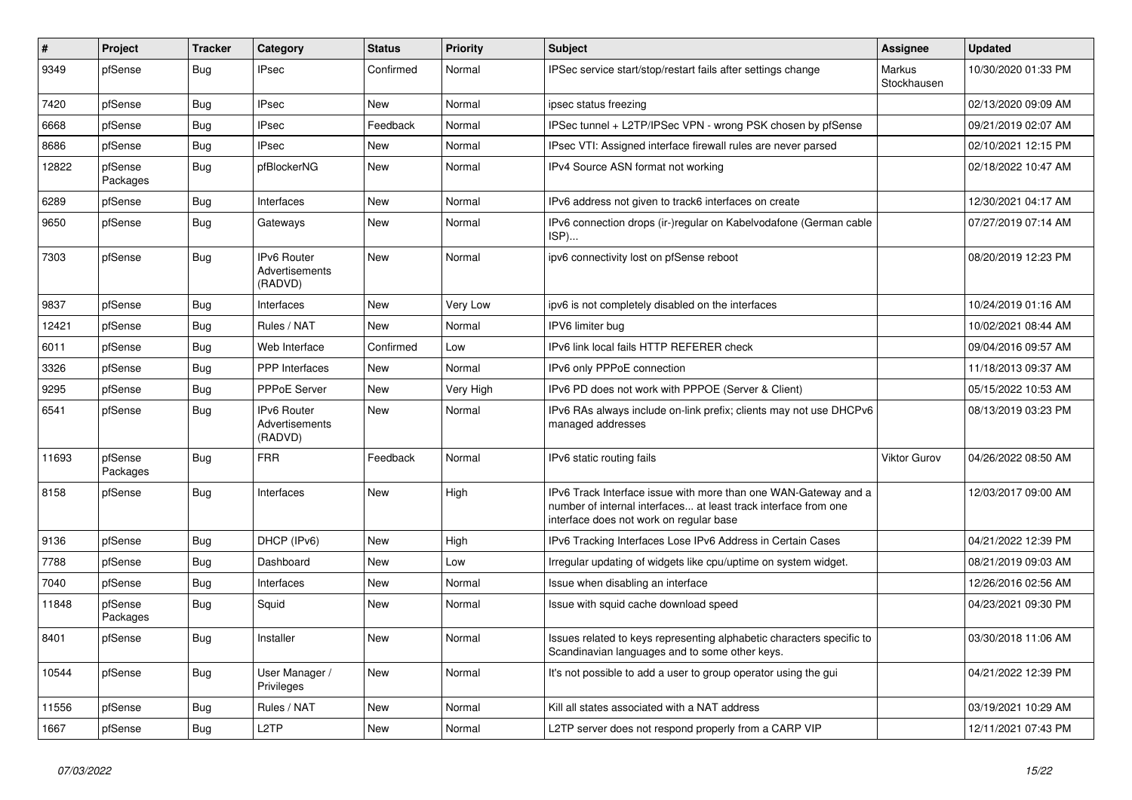| $\vert$ # | Project             | <b>Tracker</b> | Category                                        | <b>Status</b> | <b>Priority</b> | <b>Subject</b>                                                                                                                                                                | <b>Assignee</b>       | <b>Updated</b>      |
|-----------|---------------------|----------------|-------------------------------------------------|---------------|-----------------|-------------------------------------------------------------------------------------------------------------------------------------------------------------------------------|-----------------------|---------------------|
| 9349      | pfSense             | <b>Bug</b>     | <b>IPsec</b>                                    | Confirmed     | Normal          | IPSec service start/stop/restart fails after settings change                                                                                                                  | Markus<br>Stockhausen | 10/30/2020 01:33 PM |
| 7420      | pfSense             | Bug            | <b>IPsec</b>                                    | <b>New</b>    | Normal          | ipsec status freezing                                                                                                                                                         |                       | 02/13/2020 09:09 AM |
| 6668      | pfSense             | Bug            | <b>IPsec</b>                                    | Feedback      | Normal          | IPSec tunnel + L2TP/IPSec VPN - wrong PSK chosen by pfSense                                                                                                                   |                       | 09/21/2019 02:07 AM |
| 8686      | pfSense             | <b>Bug</b>     | <b>IPsec</b>                                    | New           | Normal          | IPsec VTI: Assigned interface firewall rules are never parsed                                                                                                                 |                       | 02/10/2021 12:15 PM |
| 12822     | pfSense<br>Packages | <b>Bug</b>     | pfBlockerNG                                     | New           | Normal          | IPv4 Source ASN format not working                                                                                                                                            |                       | 02/18/2022 10:47 AM |
| 6289      | pfSense             | <b>Bug</b>     | Interfaces                                      | <b>New</b>    | Normal          | IPv6 address not given to track6 interfaces on create                                                                                                                         |                       | 12/30/2021 04:17 AM |
| 9650      | pfSense             | <b>Bug</b>     | Gateways                                        | <b>New</b>    | Normal          | IPv6 connection drops (ir-)regular on Kabelvodafone (German cable<br>ISP)                                                                                                     |                       | 07/27/2019 07:14 AM |
| 7303      | pfSense             | Bug            | IPv6 Router<br>Advertisements<br>(RADVD)        | <b>New</b>    | Normal          | ipv6 connectivity lost on pfSense reboot                                                                                                                                      |                       | 08/20/2019 12:23 PM |
| 9837      | pfSense             | Bug            | Interfaces                                      | <b>New</b>    | Very Low        | ipv6 is not completely disabled on the interfaces                                                                                                                             |                       | 10/24/2019 01:16 AM |
| 12421     | pfSense             | <b>Bug</b>     | Rules / NAT                                     | <b>New</b>    | Normal          | IPV6 limiter bug                                                                                                                                                              |                       | 10/02/2021 08:44 AM |
| 6011      | pfSense             | <b>Bug</b>     | Web Interface                                   | Confirmed     | Low             | IPv6 link local fails HTTP REFERER check                                                                                                                                      |                       | 09/04/2016 09:57 AM |
| 3326      | pfSense             | <b>Bug</b>     | <b>PPP</b> Interfaces                           | <b>New</b>    | Normal          | IPv6 only PPPoE connection                                                                                                                                                    |                       | 11/18/2013 09:37 AM |
| 9295      | pfSense             | Bug            | PPPoE Server                                    | <b>New</b>    | Very High       | IPv6 PD does not work with PPPOE (Server & Client)                                                                                                                            |                       | 05/15/2022 10:53 AM |
| 6541      | pfSense             | <b>Bug</b>     | <b>IPv6 Router</b><br>Advertisements<br>(RADVD) | <b>New</b>    | Normal          | IPv6 RAs always include on-link prefix; clients may not use DHCPv6<br>managed addresses                                                                                       |                       | 08/13/2019 03:23 PM |
| 11693     | pfSense<br>Packages | <b>Bug</b>     | <b>FRR</b>                                      | Feedback      | Normal          | IPv6 static routing fails                                                                                                                                                     | Viktor Gurov          | 04/26/2022 08:50 AM |
| 8158      | pfSense             | Bug            | Interfaces                                      | <b>New</b>    | High            | IPv6 Track Interface issue with more than one WAN-Gateway and a<br>number of internal interfaces at least track interface from one<br>interface does not work on regular base |                       | 12/03/2017 09:00 AM |
| 9136      | pfSense             | Bug            | DHCP (IPv6)                                     | <b>New</b>    | High            | IPv6 Tracking Interfaces Lose IPv6 Address in Certain Cases                                                                                                                   |                       | 04/21/2022 12:39 PM |
| 7788      | pfSense             | <b>Bug</b>     | Dashboard                                       | <b>New</b>    | Low             | Irregular updating of widgets like cpu/uptime on system widget.                                                                                                               |                       | 08/21/2019 09:03 AM |
| 7040      | pfSense             | <b>Bug</b>     | Interfaces                                      | <b>New</b>    | Normal          | Issue when disabling an interface                                                                                                                                             |                       | 12/26/2016 02:56 AM |
| 11848     | pfSense<br>Packages | <b>Bug</b>     | Squid                                           | <b>New</b>    | Normal          | Issue with squid cache download speed                                                                                                                                         |                       | 04/23/2021 09:30 PM |
| 8401      | pfSense             | Bug            | Installer                                       | <b>New</b>    | Normal          | Issues related to keys representing alphabetic characters specific to<br>Scandinavian languages and to some other keys.                                                       |                       | 03/30/2018 11:06 AM |
| 10544     | pfSense             | Bug            | User Manager /<br>Privileges                    | New           | Normal          | It's not possible to add a user to group operator using the gui                                                                                                               |                       | 04/21/2022 12:39 PM |
| 11556     | pfSense             | <b>Bug</b>     | Rules / NAT                                     | New           | Normal          | Kill all states associated with a NAT address                                                                                                                                 |                       | 03/19/2021 10:29 AM |
| 1667      | pfSense             | <b>Bug</b>     | L2TP                                            | New           | Normal          | L2TP server does not respond properly from a CARP VIP                                                                                                                         |                       | 12/11/2021 07:43 PM |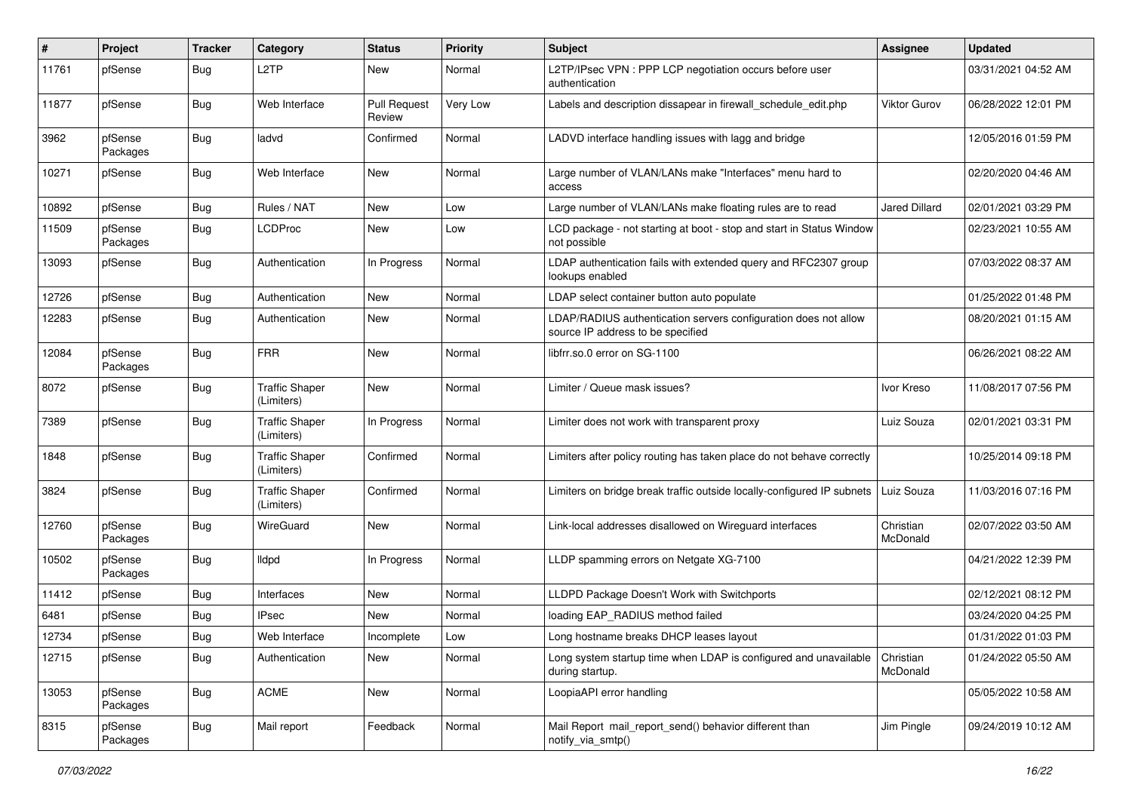| #     | Project             | <b>Tracker</b> | Category                            | <b>Status</b>                 | <b>Priority</b> | Subject                                                                                              | <b>Assignee</b>       | <b>Updated</b>      |
|-------|---------------------|----------------|-------------------------------------|-------------------------------|-----------------|------------------------------------------------------------------------------------------------------|-----------------------|---------------------|
| 11761 | pfSense             | Bug            | L2TP                                | New                           | Normal          | L2TP/IPsec VPN : PPP LCP negotiation occurs before user<br>authentication                            |                       | 03/31/2021 04:52 AM |
| 11877 | pfSense             | Bug            | Web Interface                       | <b>Pull Request</b><br>Review | Very Low        | Labels and description dissapear in firewall schedule edit.php                                       | <b>Viktor Gurov</b>   | 06/28/2022 12:01 PM |
| 3962  | pfSense<br>Packages | Bug            | ladvd                               | Confirmed                     | Normal          | LADVD interface handling issues with lagg and bridge                                                 |                       | 12/05/2016 01:59 PM |
| 10271 | pfSense             | Bug            | Web Interface                       | New                           | Normal          | Large number of VLAN/LANs make "Interfaces" menu hard to<br>access                                   |                       | 02/20/2020 04:46 AM |
| 10892 | pfSense             | Bug            | Rules / NAT                         | New                           | Low             | Large number of VLAN/LANs make floating rules are to read                                            | <b>Jared Dillard</b>  | 02/01/2021 03:29 PM |
| 11509 | pfSense<br>Packages | Bug            | LCDProc                             | New                           | Low             | LCD package - not starting at boot - stop and start in Status Window<br>not possible                 |                       | 02/23/2021 10:55 AM |
| 13093 | pfSense             | Bug            | Authentication                      | In Progress                   | Normal          | LDAP authentication fails with extended query and RFC2307 group<br>lookups enabled                   |                       | 07/03/2022 08:37 AM |
| 12726 | pfSense             | Bug            | Authentication                      | New                           | Normal          | LDAP select container button auto populate                                                           |                       | 01/25/2022 01:48 PM |
| 12283 | pfSense             | <b>Bug</b>     | Authentication                      | New                           | Normal          | LDAP/RADIUS authentication servers configuration does not allow<br>source IP address to be specified |                       | 08/20/2021 01:15 AM |
| 12084 | pfSense<br>Packages | Bug            | <b>FRR</b>                          | <b>New</b>                    | Normal          | libfrr.so.0 error on SG-1100                                                                         |                       | 06/26/2021 08:22 AM |
| 8072  | pfSense             | <b>Bug</b>     | <b>Traffic Shaper</b><br>(Limiters) | <b>New</b>                    | Normal          | Limiter / Queue mask issues?                                                                         | Ivor Kreso            | 11/08/2017 07:56 PM |
| 7389  | pfSense             | Bug            | <b>Traffic Shaper</b><br>(Limiters) | In Progress                   | Normal          | Limiter does not work with transparent proxy                                                         | Luiz Souza            | 02/01/2021 03:31 PM |
| 1848  | pfSense             | <b>Bug</b>     | <b>Traffic Shaper</b><br>(Limiters) | Confirmed                     | Normal          | Limiters after policy routing has taken place do not behave correctly                                |                       | 10/25/2014 09:18 PM |
| 3824  | pfSense             | <b>Bug</b>     | <b>Traffic Shaper</b><br>(Limiters) | Confirmed                     | Normal          | Limiters on bridge break traffic outside locally-configured IP subnets                               | Luiz Souza            | 11/03/2016 07:16 PM |
| 12760 | pfSense<br>Packages | Bug            | WireGuard                           | <b>New</b>                    | Normal          | Link-local addresses disallowed on Wireguard interfaces                                              | Christian<br>McDonald | 02/07/2022 03:50 AM |
| 10502 | pfSense<br>Packages | Bug            | lldpd                               | In Progress                   | Normal          | LLDP spamming errors on Netgate XG-7100                                                              |                       | 04/21/2022 12:39 PM |
| 11412 | pfSense             | Bug            | Interfaces                          | New                           | Normal          | LLDPD Package Doesn't Work with Switchports                                                          |                       | 02/12/2021 08:12 PM |
| 6481  | pfSense             | Bug            | <b>IPsec</b>                        | New                           | Normal          | loading EAP RADIUS method failed                                                                     |                       | 03/24/2020 04:25 PM |
| 12734 | pfSense             | Bug            | Web Interface                       | Incomplete                    | Low             | Long hostname breaks DHCP leases layout                                                              |                       | 01/31/2022 01:03 PM |
| 12715 | pfSense             | <b>Bug</b>     | Authentication                      | New                           | Normal          | Long system startup time when LDAP is configured and unavailable $ $ Christian<br>during startup.    | McDonald              | 01/24/2022 05:50 AM |
| 13053 | pfSense<br>Packages | <b>Bug</b>     | ACME                                | New                           | Normal          | LoopiaAPI error handling                                                                             |                       | 05/05/2022 10:58 AM |
| 8315  | pfSense<br>Packages | <b>Bug</b>     | Mail report                         | Feedback                      | Normal          | Mail Report mail_report_send() behavior different than<br>notify_via_smtp()                          | Jim Pingle            | 09/24/2019 10:12 AM |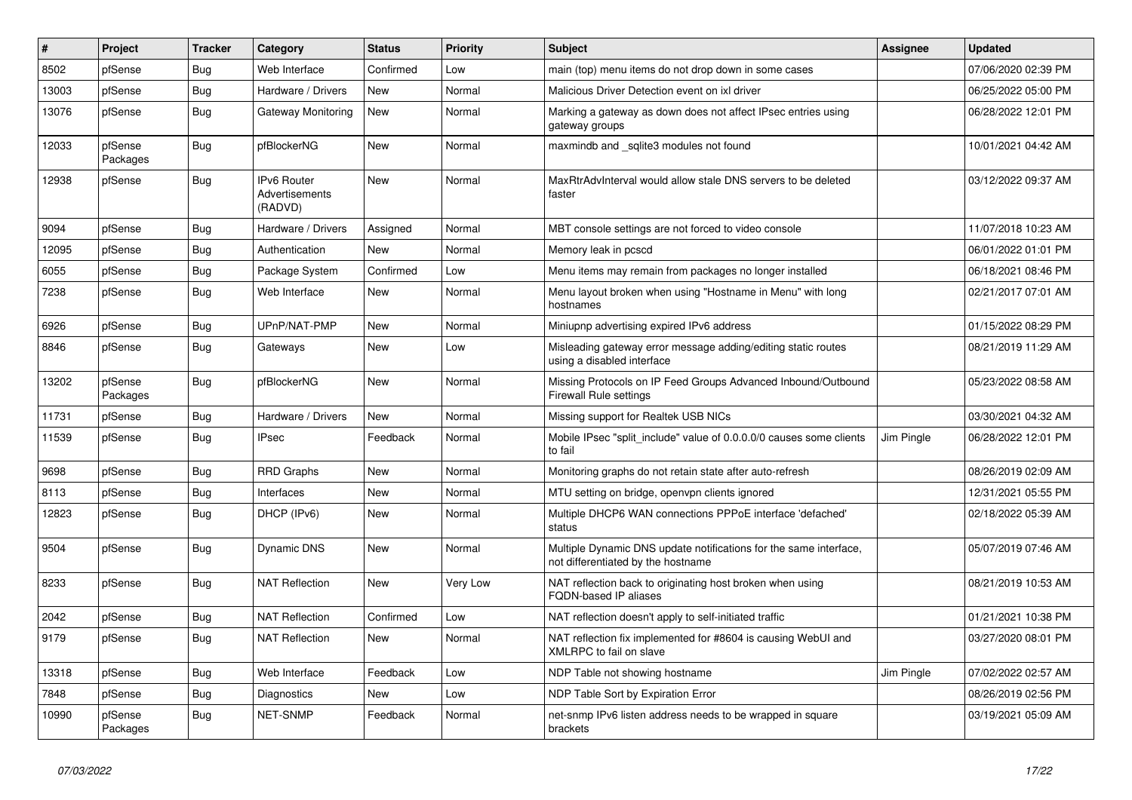| #     | Project             | <b>Tracker</b> | Category                                        | <b>Status</b> | <b>Priority</b> | <b>Subject</b>                                                                                          | <b>Assignee</b> | <b>Updated</b>      |
|-------|---------------------|----------------|-------------------------------------------------|---------------|-----------------|---------------------------------------------------------------------------------------------------------|-----------------|---------------------|
| 8502  | pfSense             | <b>Bug</b>     | Web Interface                                   | Confirmed     | Low             | main (top) menu items do not drop down in some cases                                                    |                 | 07/06/2020 02:39 PM |
| 13003 | pfSense             | <b>Bug</b>     | Hardware / Drivers                              | <b>New</b>    | Normal          | Malicious Driver Detection event on ixl driver                                                          |                 | 06/25/2022 05:00 PM |
| 13076 | pfSense             | <b>Bug</b>     | Gateway Monitoring                              | New           | Normal          | Marking a gateway as down does not affect IPsec entries using<br>gateway groups                         |                 | 06/28/2022 12:01 PM |
| 12033 | pfSense<br>Packages | Bug            | pfBlockerNG                                     | <b>New</b>    | Normal          | maxmindb and _sqlite3 modules not found                                                                 |                 | 10/01/2021 04:42 AM |
| 12938 | pfSense             | <b>Bug</b>     | <b>IPv6 Router</b><br>Advertisements<br>(RADVD) | <b>New</b>    | Normal          | MaxRtrAdvInterval would allow stale DNS servers to be deleted<br>faster                                 |                 | 03/12/2022 09:37 AM |
| 9094  | pfSense             | Bug            | Hardware / Drivers                              | Assigned      | Normal          | MBT console settings are not forced to video console                                                    |                 | 11/07/2018 10:23 AM |
| 12095 | pfSense             | <b>Bug</b>     | Authentication                                  | New           | Normal          | Memory leak in pcscd                                                                                    |                 | 06/01/2022 01:01 PM |
| 6055  | pfSense             | <b>Bug</b>     | Package System                                  | Confirmed     | Low             | Menu items may remain from packages no longer installed                                                 |                 | 06/18/2021 08:46 PM |
| 7238  | pfSense             | <b>Bug</b>     | Web Interface                                   | New           | Normal          | Menu layout broken when using "Hostname in Menu" with long<br>hostnames                                 |                 | 02/21/2017 07:01 AM |
| 6926  | pfSense             | <b>Bug</b>     | UPnP/NAT-PMP                                    | New           | Normal          | Miniupnp advertising expired IPv6 address                                                               |                 | 01/15/2022 08:29 PM |
| 8846  | pfSense             | <b>Bug</b>     | Gateways                                        | New           | Low             | Misleading gateway error message adding/editing static routes<br>using a disabled interface             |                 | 08/21/2019 11:29 AM |
| 13202 | pfSense<br>Packages | <b>Bug</b>     | pfBlockerNG                                     | <b>New</b>    | Normal          | Missing Protocols on IP Feed Groups Advanced Inbound/Outbound<br><b>Firewall Rule settings</b>          |                 | 05/23/2022 08:58 AM |
| 11731 | pfSense             | <b>Bug</b>     | Hardware / Drivers                              | <b>New</b>    | Normal          | Missing support for Realtek USB NICs                                                                    |                 | 03/30/2021 04:32 AM |
| 11539 | pfSense             | <b>Bug</b>     | <b>IPsec</b>                                    | Feedback      | Normal          | Mobile IPsec "split include" value of 0.0.0.0/0 causes some clients<br>to fail                          | Jim Pingle      | 06/28/2022 12:01 PM |
| 9698  | pfSense             | <b>Bug</b>     | RRD Graphs                                      | <b>New</b>    | Normal          | Monitoring graphs do not retain state after auto-refresh                                                |                 | 08/26/2019 02:09 AM |
| 8113  | pfSense             | <b>Bug</b>     | Interfaces                                      | <b>New</b>    | Normal          | MTU setting on bridge, openvpn clients ignored                                                          |                 | 12/31/2021 05:55 PM |
| 12823 | pfSense             | <b>Bug</b>     | DHCP (IPv6)                                     | <b>New</b>    | Normal          | Multiple DHCP6 WAN connections PPPoE interface 'defached'<br>status                                     |                 | 02/18/2022 05:39 AM |
| 9504  | pfSense             | <b>Bug</b>     | <b>Dynamic DNS</b>                              | <b>New</b>    | Normal          | Multiple Dynamic DNS update notifications for the same interface,<br>not differentiated by the hostname |                 | 05/07/2019 07:46 AM |
| 8233  | pfSense             | Bug            | <b>NAT Reflection</b>                           | <b>New</b>    | Very Low        | NAT reflection back to originating host broken when using<br><b>FQDN-based IP aliases</b>               |                 | 08/21/2019 10:53 AM |
| 2042  | pfSense             | <b>Bug</b>     | <b>NAT Reflection</b>                           | Confirmed     | Low             | NAT reflection doesn't apply to self-initiated traffic                                                  |                 | 01/21/2021 10:38 PM |
| 9179  | pfSense             | <b>Bug</b>     | <b>NAT Reflection</b>                           | New           | Normal          | NAT reflection fix implemented for #8604 is causing WebUI and<br>XMLRPC to fail on slave                |                 | 03/27/2020 08:01 PM |
| 13318 | pfSense             | <b>Bug</b>     | Web Interface                                   | Feedback      | Low             | NDP Table not showing hostname                                                                          | Jim Pingle      | 07/02/2022 02:57 AM |
| 7848  | pfSense             | Bug            | Diagnostics                                     | <b>New</b>    | Low             | NDP Table Sort by Expiration Error                                                                      |                 | 08/26/2019 02:56 PM |
| 10990 | pfSense<br>Packages | <b>Bug</b>     | <b>NET-SNMP</b>                                 | Feedback      | Normal          | net-snmp IPv6 listen address needs to be wrapped in square<br>brackets                                  |                 | 03/19/2021 05:09 AM |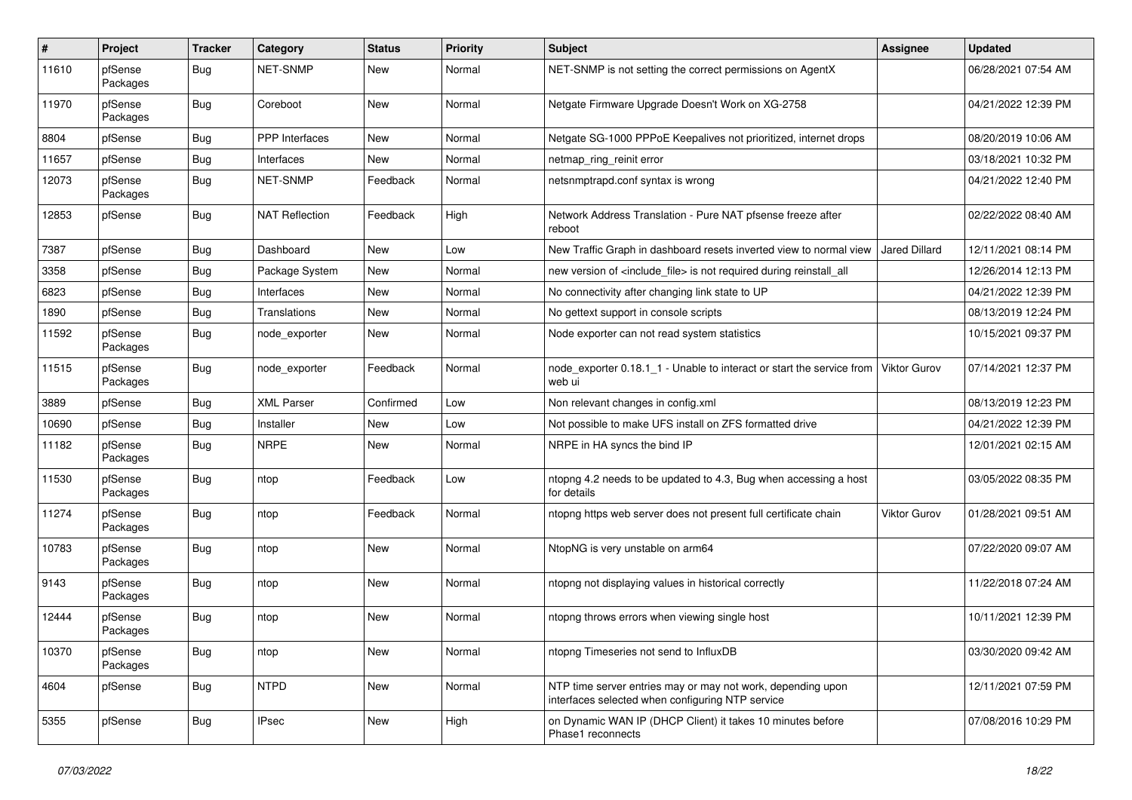| #     | Project             | <b>Tracker</b> | Category              | <b>Status</b> | <b>Priority</b> | <b>Subject</b>                                                                                                  | <b>Assignee</b>      | <b>Updated</b>      |
|-------|---------------------|----------------|-----------------------|---------------|-----------------|-----------------------------------------------------------------------------------------------------------------|----------------------|---------------------|
| 11610 | pfSense<br>Packages | Bug            | NET-SNMP              | New           | Normal          | NET-SNMP is not setting the correct permissions on AgentX                                                       |                      | 06/28/2021 07:54 AM |
| 11970 | pfSense<br>Packages | <b>Bug</b>     | Coreboot              | <b>New</b>    | Normal          | Netgate Firmware Upgrade Doesn't Work on XG-2758                                                                |                      | 04/21/2022 12:39 PM |
| 8804  | pfSense             | <b>Bug</b>     | PPP Interfaces        | <b>New</b>    | Normal          | Netgate SG-1000 PPPoE Keepalives not prioritized, internet drops                                                |                      | 08/20/2019 10:06 AM |
| 11657 | pfSense             | Bug            | Interfaces            | New           | Normal          | netmap_ring_reinit error                                                                                        |                      | 03/18/2021 10:32 PM |
| 12073 | pfSense<br>Packages | Bug            | <b>NET-SNMP</b>       | Feedback      | Normal          | netsnmptrapd.conf syntax is wrong                                                                               |                      | 04/21/2022 12:40 PM |
| 12853 | pfSense             | <b>Bug</b>     | <b>NAT Reflection</b> | Feedback      | High            | Network Address Translation - Pure NAT pfsense freeze after<br>reboot                                           |                      | 02/22/2022 08:40 AM |
| 7387  | pfSense             | Bug            | Dashboard             | New           | Low             | New Traffic Graph in dashboard resets inverted view to normal view                                              | <b>Jared Dillard</b> | 12/11/2021 08:14 PM |
| 3358  | pfSense             | <b>Bug</b>     | Package System        | New           | Normal          | new version of <include_file> is not required during reinstall_all</include_file>                               |                      | 12/26/2014 12:13 PM |
| 6823  | pfSense             | <b>Bug</b>     | Interfaces            | <b>New</b>    | Normal          | No connectivity after changing link state to UP                                                                 |                      | 04/21/2022 12:39 PM |
| 1890  | pfSense             | Bug            | Translations          | New           | Normal          | No gettext support in console scripts                                                                           |                      | 08/13/2019 12:24 PM |
| 11592 | pfSense<br>Packages | Bug            | node_exporter         | New           | Normal          | Node exporter can not read system statistics                                                                    |                      | 10/15/2021 09:37 PM |
| 11515 | pfSense<br>Packages | <b>Bug</b>     | node exporter         | Feedback      | Normal          | node exporter 0.18.1 1 - Unable to interact or start the service from<br>web ui                                 | <b>Viktor Gurov</b>  | 07/14/2021 12:37 PM |
| 3889  | pfSense             | Bug            | <b>XML Parser</b>     | Confirmed     | Low             | Non relevant changes in config.xml                                                                              |                      | 08/13/2019 12:23 PM |
| 10690 | pfSense             | Bug            | Installer             | New           | Low             | Not possible to make UFS install on ZFS formatted drive                                                         |                      | 04/21/2022 12:39 PM |
| 11182 | pfSense<br>Packages | <b>Bug</b>     | <b>NRPE</b>           | <b>New</b>    | Normal          | NRPE in HA syncs the bind IP                                                                                    |                      | 12/01/2021 02:15 AM |
| 11530 | pfSense<br>Packages | <b>Bug</b>     | ntop                  | Feedback      | Low             | ntopng 4.2 needs to be updated to 4.3, Bug when accessing a host<br>for details                                 |                      | 03/05/2022 08:35 PM |
| 11274 | pfSense<br>Packages | <b>Bug</b>     | ntop                  | Feedback      | Normal          | ntopng https web server does not present full certificate chain                                                 | <b>Viktor Gurov</b>  | 01/28/2021 09:51 AM |
| 10783 | pfSense<br>Packages | <b>Bug</b>     | ntop                  | <b>New</b>    | Normal          | NtopNG is very unstable on arm64                                                                                |                      | 07/22/2020 09:07 AM |
| 9143  | pfSense<br>Packages | <b>Bug</b>     | ntop                  | <b>New</b>    | Normal          | ntopng not displaying values in historical correctly                                                            |                      | 11/22/2018 07:24 AM |
| 12444 | pfSense<br>Packages | <b>Bug</b>     | ntop                  | <b>New</b>    | Normal          | ntopng throws errors when viewing single host                                                                   |                      | 10/11/2021 12:39 PM |
| 10370 | pfSense<br>Packages | <b>Bug</b>     | ntop                  | New           | Normal          | ntopng Timeseries not send to InfluxDB                                                                          |                      | 03/30/2020 09:42 AM |
| 4604  | pfSense             | <b>Bug</b>     | <b>NTPD</b>           | New           | Normal          | NTP time server entries may or may not work, depending upon<br>interfaces selected when configuring NTP service |                      | 12/11/2021 07:59 PM |
| 5355  | pfSense             | <b>Bug</b>     | <b>IPsec</b>          | New           | High            | on Dynamic WAN IP (DHCP Client) it takes 10 minutes before<br>Phase1 reconnects                                 |                      | 07/08/2016 10:29 PM |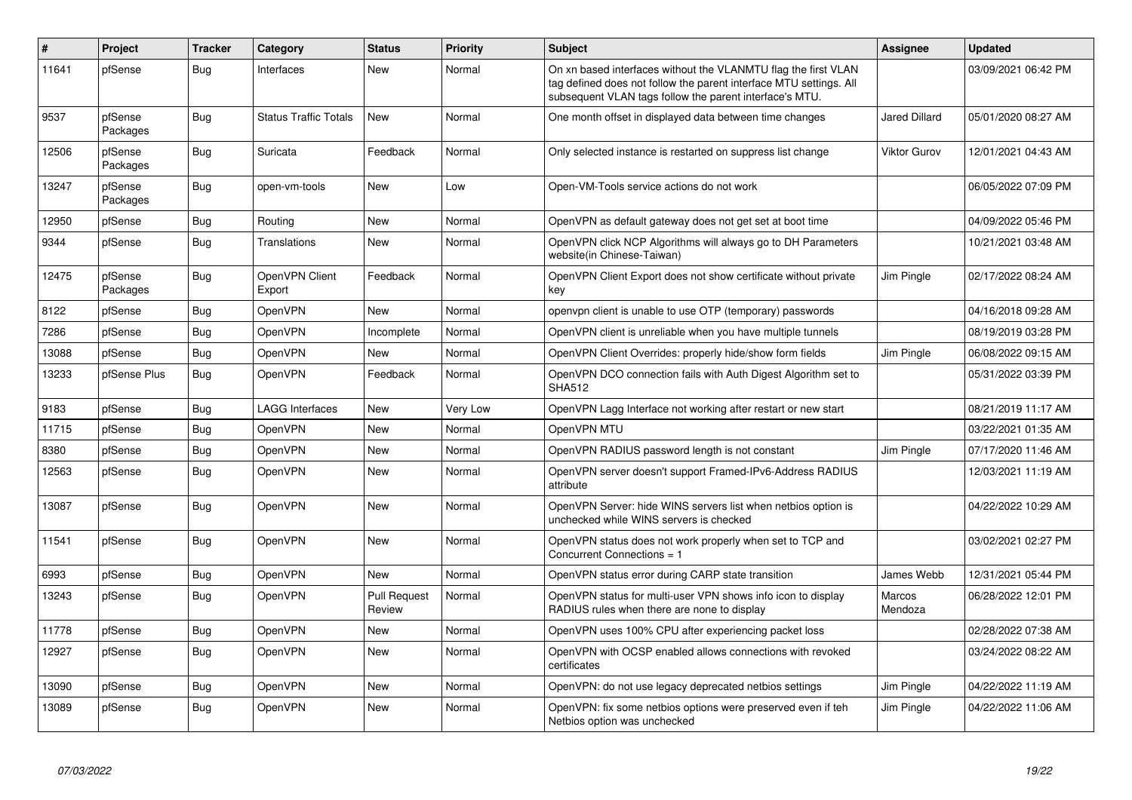| $\vert$ # | Project             | <b>Tracker</b> | Category                     | <b>Status</b>                 | <b>Priority</b> | <b>Subject</b>                                                                                                                                                                                  | <b>Assignee</b>      | <b>Updated</b>      |
|-----------|---------------------|----------------|------------------------------|-------------------------------|-----------------|-------------------------------------------------------------------------------------------------------------------------------------------------------------------------------------------------|----------------------|---------------------|
| 11641     | pfSense             | Bug            | Interfaces                   | <b>New</b>                    | Normal          | On xn based interfaces without the VLANMTU flag the first VLAN<br>tag defined does not follow the parent interface MTU settings. All<br>subsequent VLAN tags follow the parent interface's MTU. |                      | 03/09/2021 06:42 PM |
| 9537      | pfSense<br>Packages | Bug            | <b>Status Traffic Totals</b> | <b>New</b>                    | Normal          | One month offset in displayed data between time changes                                                                                                                                         | <b>Jared Dillard</b> | 05/01/2020 08:27 AM |
| 12506     | pfSense<br>Packages | <b>Bug</b>     | Suricata                     | Feedback                      | Normal          | Only selected instance is restarted on suppress list change                                                                                                                                     | <b>Viktor Gurov</b>  | 12/01/2021 04:43 AM |
| 13247     | pfSense<br>Packages | <b>Bug</b>     | open-vm-tools                | New                           | Low             | Open-VM-Tools service actions do not work                                                                                                                                                       |                      | 06/05/2022 07:09 PM |
| 12950     | pfSense             | <b>Bug</b>     | Routing                      | New                           | Normal          | OpenVPN as default gateway does not get set at boot time                                                                                                                                        |                      | 04/09/2022 05:46 PM |
| 9344      | pfSense             | <b>Bug</b>     | Translations                 | <b>New</b>                    | Normal          | OpenVPN click NCP Algorithms will always go to DH Parameters<br>website(in Chinese-Taiwan)                                                                                                      |                      | 10/21/2021 03:48 AM |
| 12475     | pfSense<br>Packages | <b>Bug</b>     | OpenVPN Client<br>Export     | Feedback                      | Normal          | OpenVPN Client Export does not show certificate without private<br>key                                                                                                                          | Jim Pingle           | 02/17/2022 08:24 AM |
| 8122      | pfSense             | <b>Bug</b>     | OpenVPN                      | <b>New</b>                    | Normal          | openvpn client is unable to use OTP (temporary) passwords                                                                                                                                       |                      | 04/16/2018 09:28 AM |
| 7286      | pfSense             | <b>Bug</b>     | <b>OpenVPN</b>               | Incomplete                    | Normal          | OpenVPN client is unreliable when you have multiple tunnels                                                                                                                                     |                      | 08/19/2019 03:28 PM |
| 13088     | pfSense             | <b>Bug</b>     | <b>OpenVPN</b>               | New                           | Normal          | OpenVPN Client Overrides: properly hide/show form fields                                                                                                                                        | Jim Pingle           | 06/08/2022 09:15 AM |
| 13233     | pfSense Plus        | <b>Bug</b>     | OpenVPN                      | Feedback                      | Normal          | OpenVPN DCO connection fails with Auth Digest Algorithm set to<br><b>SHA512</b>                                                                                                                 |                      | 05/31/2022 03:39 PM |
| 9183      | pfSense             | Bug            | LAGG Interfaces              | <b>New</b>                    | Very Low        | OpenVPN Lagg Interface not working after restart or new start                                                                                                                                   |                      | 08/21/2019 11:17 AM |
| 11715     | pfSense             | <b>Bug</b>     | <b>OpenVPN</b>               | New                           | Normal          | OpenVPN MTU                                                                                                                                                                                     |                      | 03/22/2021 01:35 AM |
| 8380      | pfSense             | <b>Bug</b>     | OpenVPN                      | New                           | Normal          | OpenVPN RADIUS password length is not constant                                                                                                                                                  | Jim Pingle           | 07/17/2020 11:46 AM |
| 12563     | pfSense             | <b>Bug</b>     | OpenVPN                      | New                           | Normal          | OpenVPN server doesn't support Framed-IPv6-Address RADIUS<br>attribute                                                                                                                          |                      | 12/03/2021 11:19 AM |
| 13087     | pfSense             | Bug            | <b>OpenVPN</b>               | New                           | Normal          | OpenVPN Server: hide WINS servers list when netbios option is<br>unchecked while WINS servers is checked                                                                                        |                      | 04/22/2022 10:29 AM |
| 11541     | pfSense             | <b>Bug</b>     | <b>OpenVPN</b>               | <b>New</b>                    | Normal          | OpenVPN status does not work properly when set to TCP and<br>Concurrent Connections = 1                                                                                                         |                      | 03/02/2021 02:27 PM |
| 6993      | pfSense             | Bug            | <b>OpenVPN</b>               | <b>New</b>                    | Normal          | OpenVPN status error during CARP state transition                                                                                                                                               | James Webb           | 12/31/2021 05:44 PM |
| 13243     | pfSense             | <b>Bug</b>     | OpenVPN                      | <b>Pull Request</b><br>Review | Normal          | OpenVPN status for multi-user VPN shows info icon to display<br>RADIUS rules when there are none to display                                                                                     | Marcos<br>Mendoza    | 06/28/2022 12:01 PM |
| 11778     | pfSense             | <b>Bug</b>     | OpenVPN                      | <b>New</b>                    | Normal          | OpenVPN uses 100% CPU after experiencing packet loss                                                                                                                                            |                      | 02/28/2022 07:38 AM |
| 12927     | pfSense             | <b>Bug</b>     | <b>OpenVPN</b>               | New                           | Normal          | OpenVPN with OCSP enabled allows connections with revoked<br>certificates                                                                                                                       |                      | 03/24/2022 08:22 AM |
| 13090     | pfSense             | <b>Bug</b>     | <b>OpenVPN</b>               | <b>New</b>                    | Normal          | OpenVPN: do not use legacy deprecated netbios settings                                                                                                                                          | Jim Pingle           | 04/22/2022 11:19 AM |
| 13089     | pfSense             | <b>Bug</b>     | OpenVPN                      | <b>New</b>                    | Normal          | OpenVPN: fix some netbios options were preserved even if teh<br>Netbios option was unchecked                                                                                                    | Jim Pingle           | 04/22/2022 11:06 AM |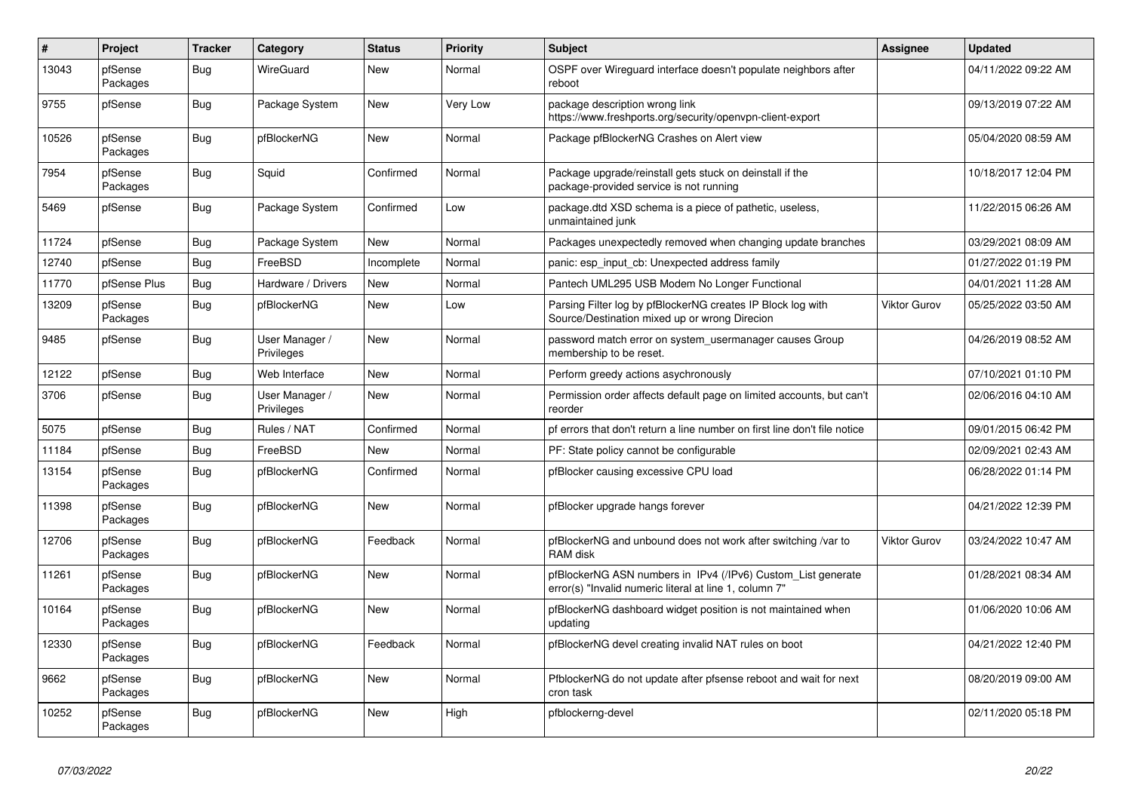| $\sharp$ | Project             | <b>Tracker</b> | Category                     | <b>Status</b> | <b>Priority</b> | <b>Subject</b>                                                                                                         | <b>Assignee</b>     | <b>Updated</b>      |
|----------|---------------------|----------------|------------------------------|---------------|-----------------|------------------------------------------------------------------------------------------------------------------------|---------------------|---------------------|
| 13043    | pfSense<br>Packages | <b>Bug</b>     | WireGuard                    | New           | Normal          | OSPF over Wireguard interface doesn't populate neighbors after<br>reboot                                               |                     | 04/11/2022 09:22 AM |
| 9755     | pfSense             | Bug            | Package System               | New           | Very Low        | package description wrong link<br>https://www.freshports.org/security/openvpn-client-export                            |                     | 09/13/2019 07:22 AM |
| 10526    | pfSense<br>Packages | <b>Bug</b>     | pfBlockerNG                  | <b>New</b>    | Normal          | Package pfBlockerNG Crashes on Alert view                                                                              |                     | 05/04/2020 08:59 AM |
| 7954     | pfSense<br>Packages | <b>Bug</b>     | Squid                        | Confirmed     | Normal          | Package upgrade/reinstall gets stuck on deinstall if the<br>package-provided service is not running                    |                     | 10/18/2017 12:04 PM |
| 5469     | pfSense             | <b>Bug</b>     | Package System               | Confirmed     | Low             | package.dtd XSD schema is a piece of pathetic, useless,<br>unmaintained junk                                           |                     | 11/22/2015 06:26 AM |
| 11724    | pfSense             | Bug            | Package System               | New           | Normal          | Packages unexpectedly removed when changing update branches                                                            |                     | 03/29/2021 08:09 AM |
| 12740    | pfSense             | Bug            | FreeBSD                      | Incomplete    | Normal          | panic: esp input cb: Unexpected address family                                                                         |                     | 01/27/2022 01:19 PM |
| 11770    | pfSense Plus        | <b>Bug</b>     | Hardware / Drivers           | New           | Normal          | Pantech UML295 USB Modem No Longer Functional                                                                          |                     | 04/01/2021 11:28 AM |
| 13209    | pfSense<br>Packages | Bug            | pfBlockerNG                  | New           | Low             | Parsing Filter log by pfBlockerNG creates IP Block log with<br>Source/Destination mixed up or wrong Direcion           | <b>Viktor Gurov</b> | 05/25/2022 03:50 AM |
| 9485     | pfSense             | <b>Bug</b>     | User Manager /<br>Privileges | New           | Normal          | password match error on system usermanager causes Group<br>membership to be reset.                                     |                     | 04/26/2019 08:52 AM |
| 12122    | pfSense             | <b>Bug</b>     | Web Interface                | <b>New</b>    | Normal          | Perform greedy actions asychronously                                                                                   |                     | 07/10/2021 01:10 PM |
| 3706     | pfSense             | <b>Bug</b>     | User Manager /<br>Privileges | <b>New</b>    | Normal          | Permission order affects default page on limited accounts, but can't<br>reorder                                        |                     | 02/06/2016 04:10 AM |
| 5075     | pfSense             | <b>Bug</b>     | Rules / NAT                  | Confirmed     | Normal          | pf errors that don't return a line number on first line don't file notice                                              |                     | 09/01/2015 06:42 PM |
| 11184    | pfSense             | <b>Bug</b>     | FreeBSD                      | <b>New</b>    | Normal          | PF: State policy cannot be configurable                                                                                |                     | 02/09/2021 02:43 AM |
| 13154    | pfSense<br>Packages | Bug            | pfBlockerNG                  | Confirmed     | Normal          | pfBlocker causing excessive CPU load                                                                                   |                     | 06/28/2022 01:14 PM |
| 11398    | pfSense<br>Packages | <b>Bug</b>     | pfBlockerNG                  | New           | Normal          | pfBlocker upgrade hangs forever                                                                                        |                     | 04/21/2022 12:39 PM |
| 12706    | pfSense<br>Packages | <b>Bug</b>     | pfBlockerNG                  | Feedback      | Normal          | pfBlockerNG and unbound does not work after switching /var to<br>RAM disk                                              | <b>Viktor Gurov</b> | 03/24/2022 10:47 AM |
| 11261    | pfSense<br>Packages | <b>Bug</b>     | pfBlockerNG                  | <b>New</b>    | Normal          | pfBlockerNG ASN numbers in IPv4 (/IPv6) Custom_List generate<br>error(s) "Invalid numeric literal at line 1, column 7" |                     | 01/28/2021 08:34 AM |
| 10164    | pfSense<br>Packages | Bug            | pfBlockerNG                  | New           | Normal          | pfBlockerNG dashboard widget position is not maintained when<br>updating                                               |                     | 01/06/2020 10:06 AM |
| 12330    | pfSense<br>Packages | <b>Bug</b>     | pfBlockerNG                  | Feedback      | Normal          | pfBlockerNG devel creating invalid NAT rules on boot                                                                   |                     | 04/21/2022 12:40 PM |
| 9662     | pfSense<br>Packages | Bug            | pfBlockerNG                  | New           | Normal          | PfblockerNG do not update after pfsense reboot and wait for next<br>cron task                                          |                     | 08/20/2019 09:00 AM |
| 10252    | pfSense<br>Packages | <b>Bug</b>     | pfBlockerNG                  | <b>New</b>    | High            | pfblockerng-devel                                                                                                      |                     | 02/11/2020 05:18 PM |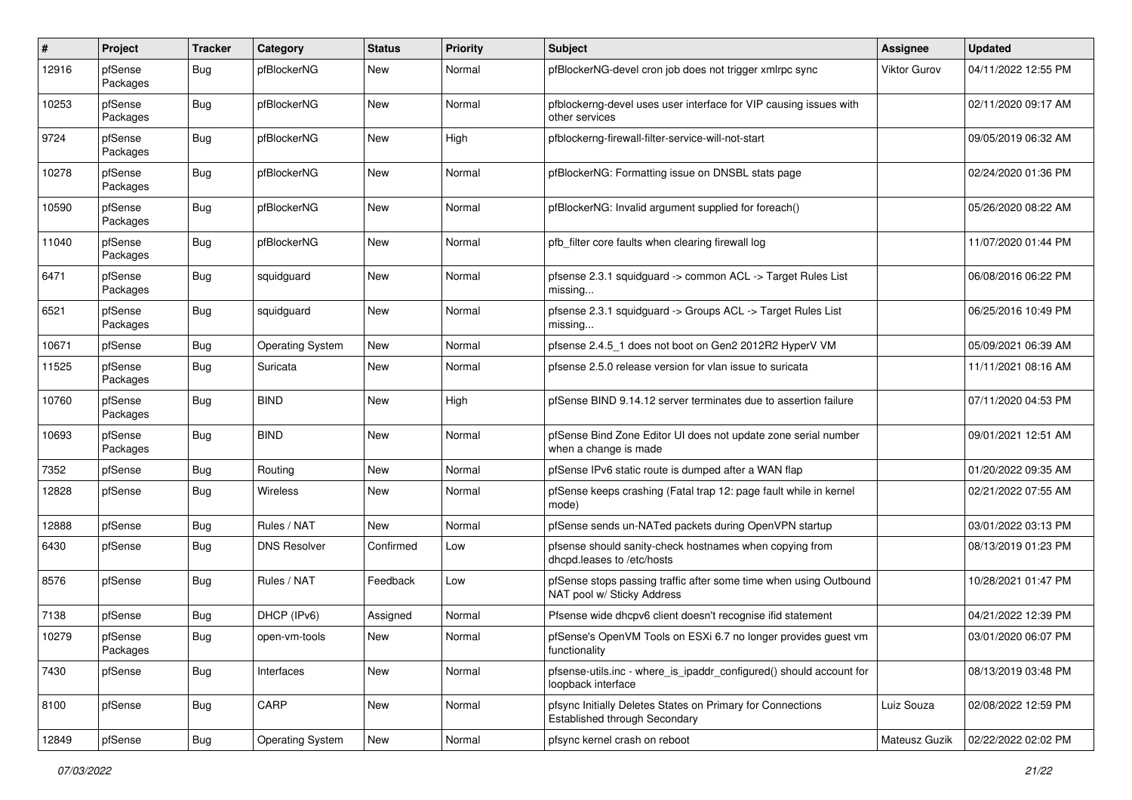| #     | Project             | <b>Tracker</b>   | Category                | <b>Status</b> | <b>Priority</b> | Subject                                                                                         | <b>Assignee</b>     | <b>Updated</b>      |
|-------|---------------------|------------------|-------------------------|---------------|-----------------|-------------------------------------------------------------------------------------------------|---------------------|---------------------|
| 12916 | pfSense<br>Packages | Bug              | pfBlockerNG             | <b>New</b>    | Normal          | pfBlockerNG-devel cron job does not trigger xmlrpc sync                                         | <b>Viktor Gurov</b> | 04/11/2022 12:55 PM |
| 10253 | pfSense<br>Packages | Bug              | pfBlockerNG             | <b>New</b>    | Normal          | pfblockerng-devel uses user interface for VIP causing issues with<br>other services             |                     | 02/11/2020 09:17 AM |
| 9724  | pfSense<br>Packages | Bug              | pfBlockerNG             | New           | High            | pfblockerng-firewall-filter-service-will-not-start                                              |                     | 09/05/2019 06:32 AM |
| 10278 | pfSense<br>Packages | <b>Bug</b>       | pfBlockerNG             | New           | Normal          | pfBlockerNG: Formatting issue on DNSBL stats page                                               |                     | 02/24/2020 01:36 PM |
| 10590 | pfSense<br>Packages | Bug              | pfBlockerNG             | New           | Normal          | pfBlockerNG: Invalid argument supplied for foreach()                                            |                     | 05/26/2020 08:22 AM |
| 11040 | pfSense<br>Packages | Bug              | pfBlockerNG             | New           | Normal          | pfb_filter core faults when clearing firewall log                                               |                     | 11/07/2020 01:44 PM |
| 6471  | pfSense<br>Packages | <b>Bug</b>       | squidguard              | New           | Normal          | pfsense 2.3.1 squidguard -> common ACL -> Target Rules List<br>missing                          |                     | 06/08/2016 06:22 PM |
| 6521  | pfSense<br>Packages | Bug              | squidguard              | <b>New</b>    | Normal          | pfsense 2.3.1 squidguard -> Groups ACL -> Target Rules List<br>missing                          |                     | 06/25/2016 10:49 PM |
| 10671 | pfSense             | <b>Bug</b>       | <b>Operating System</b> | New           | Normal          | pfsense 2.4.5 1 does not boot on Gen2 2012R2 HyperV VM                                          |                     | 05/09/2021 06:39 AM |
| 11525 | pfSense<br>Packages | <b>Bug</b>       | Suricata                | New           | Normal          | pfsense 2.5.0 release version for vlan issue to suricata                                        |                     | 11/11/2021 08:16 AM |
| 10760 | pfSense<br>Packages | Bug              | <b>BIND</b>             | New           | High            | pfSense BIND 9.14.12 server terminates due to assertion failure                                 |                     | 07/11/2020 04:53 PM |
| 10693 | pfSense<br>Packages | Bug              | <b>BIND</b>             | New           | Normal          | pfSense Bind Zone Editor UI does not update zone serial number<br>when a change is made         |                     | 09/01/2021 12:51 AM |
| 7352  | pfSense             | <b>Bug</b>       | Routing                 | New           | Normal          | pfSense IPv6 static route is dumped after a WAN flap                                            |                     | 01/20/2022 09:35 AM |
| 12828 | pfSense             | <b>Bug</b>       | <b>Wireless</b>         | New           | Normal          | pfSense keeps crashing (Fatal trap 12: page fault while in kernel<br>mode)                      |                     | 02/21/2022 07:55 AM |
| 12888 | pfSense             | <b>Bug</b>       | Rules / NAT             | <b>New</b>    | Normal          | pfSense sends un-NATed packets during OpenVPN startup                                           |                     | 03/01/2022 03:13 PM |
| 6430  | pfSense             | <b>Bug</b>       | <b>DNS Resolver</b>     | Confirmed     | Low             | pfsense should sanity-check hostnames when copying from<br>dhcpd.leases to /etc/hosts           |                     | 08/13/2019 01:23 PM |
| 8576  | pfSense             | Bug              | Rules / NAT             | Feedback      | Low             | pfSense stops passing traffic after some time when using Outbound<br>NAT pool w/ Sticky Address |                     | 10/28/2021 01:47 PM |
| 7138  | pfSense             | <b>Bug</b>       | DHCP (IPv6)             | Assigned      | Normal          | Pfsense wide dhcpv6 client doesn't recognise ifid statement                                     |                     | 04/21/2022 12:39 PM |
| 10279 | pfSense<br>Packages | <sub>I</sub> Bug | open-vm-tools           | New           | Normal          | pfSense's OpenVM Tools on ESXi 6.7 no longer provides guest vm<br>functionality                 |                     | 03/01/2020 06:07 PM |
| 7430  | pfSense             | <b>Bug</b>       | Interfaces              | New           | Normal          | pfsense-utils.inc - where_is_ipaddr_configured() should account for<br>loopback interface       |                     | 08/13/2019 03:48 PM |
| 8100  | pfSense             | <b>Bug</b>       | CARP                    | <b>New</b>    | Normal          | pfsync Initially Deletes States on Primary for Connections<br>Established through Secondary     | Luiz Souza          | 02/08/2022 12:59 PM |
| 12849 | pfSense             | <b>Bug</b>       | <b>Operating System</b> | New           | Normal          | pfsync kernel crash on reboot                                                                   | Mateusz Guzik       | 02/22/2022 02:02 PM |